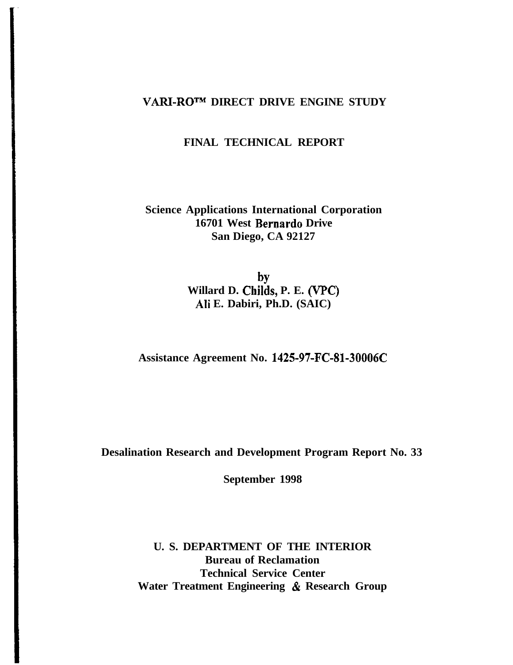## **VARI-ROTM DIRECT DRIVE ENGINE STUDY**

## **FINAL TECHNICAL REPORT**

## **Science Applications International Corporation 16701 West Bernard0 Drive San Diego, CA 92127**

by **Willard D. Childs, P. E. (VPC) Ali E. Dabiri, Ph.D. (SAIC)**

**Assistance Agreement No. 1425-97-FC-81-30006C**

**Desalination Research and Development Program Report No. 33**

**September 1998**

**U. S. DEPARTMENT OF THE INTERIOR Bureau of Reclamation Technical Service Center Water Treatment Engineering & Research Group**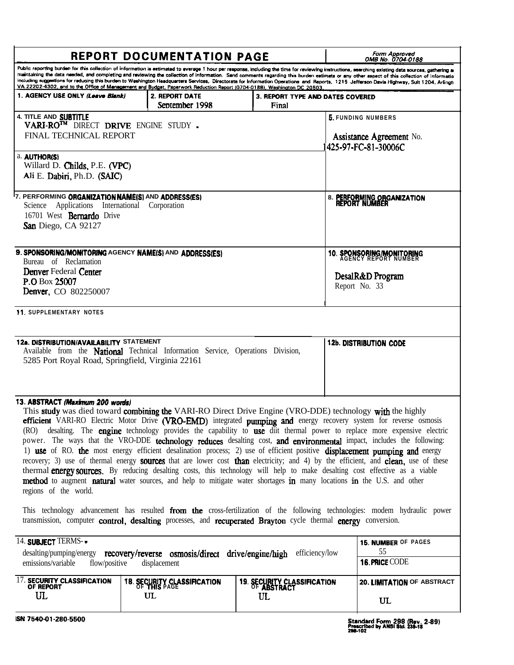|                                                                                                                                                                                         | <b>REPORT DOCUMENTATION PAGE</b>                                                                                                                                                                                                   | Form Approved<br>OMB No. 0704-0188                                    |                                                                                                                                                                                                                                                                                                                                                                                                                                                                                                                                                                                                                                                                                                                                                                                                                         |                            |
|-----------------------------------------------------------------------------------------------------------------------------------------------------------------------------------------|------------------------------------------------------------------------------------------------------------------------------------------------------------------------------------------------------------------------------------|-----------------------------------------------------------------------|-------------------------------------------------------------------------------------------------------------------------------------------------------------------------------------------------------------------------------------------------------------------------------------------------------------------------------------------------------------------------------------------------------------------------------------------------------------------------------------------------------------------------------------------------------------------------------------------------------------------------------------------------------------------------------------------------------------------------------------------------------------------------------------------------------------------------|----------------------------|
|                                                                                                                                                                                         | VA 22202-4302, and to the Office of Management and Budget, Paperwork Reduction Report (0704-0188), Washington DC 20503                                                                                                             |                                                                       | Public reporting burden for this collection of information is estimated to average 1 hour per response, including the time for reviewing instructions, searching existing data sources, gathering a<br>maintaining the data needed, and completing and reviewing the collection of information. Send comments regarding this burden estimate or any other aspect of this collection of informatio<br>including suggestions for reducing this burden to Washington Headquarters Services, Directorate for Information Operations and Reports, 1215 Jefferson Davis Highway, Suit 1204, Arlingti                                                                                                                                                                                                                          |                            |
| 1. AGENCY USE ONLY <i>(Leave Blank)</i>                                                                                                                                                 | <b>2. REPORT DATE</b><br>September 1998                                                                                                                                                                                            | 3. REPORT TYPE AND DATES COVERED                                      |                                                                                                                                                                                                                                                                                                                                                                                                                                                                                                                                                                                                                                                                                                                                                                                                                         |                            |
| 4. TITLE AND SUBTITLE<br>VARI-RO <sup>TM</sup> DIRECT DRIVE ENGINE STUDY.<br>FINAL TECHNICAL REPORT                                                                                     |                                                                                                                                                                                                                                    | 5. FUNDING NUMBERS<br>Assistance Agreement No.<br>425-97-FC-81-30006C |                                                                                                                                                                                                                                                                                                                                                                                                                                                                                                                                                                                                                                                                                                                                                                                                                         |                            |
| a. <b>AUTHOR(S)</b><br>Willard D. Childs, P.E. (VPC)<br>Ali E. Dabiri, Ph.D. (SAIC)                                                                                                     |                                                                                                                                                                                                                                    |                                                                       |                                                                                                                                                                                                                                                                                                                                                                                                                                                                                                                                                                                                                                                                                                                                                                                                                         |                            |
| 7. PERFORMING ORGANIZATION NAME(S) AND ADDRESS(ES)<br>Applications International Corporation<br>Science<br>16701 West Bernardo Drive<br>San Diego, CA 92127                             | 8. PERFORMING ORGANIZATION<br>Report Number                                                                                                                                                                                        |                                                                       |                                                                                                                                                                                                                                                                                                                                                                                                                                                                                                                                                                                                                                                                                                                                                                                                                         |                            |
| 9. SPONSORING/MONITORING AGENCY NAME(S) AND ADDRESS(ES)<br>Bureau of Reclamation                                                                                                        |                                                                                                                                                                                                                                    |                                                                       | <b>10. SPONSORING/MONITORING</b><br>AGENCY REPORT NUMBER                                                                                                                                                                                                                                                                                                                                                                                                                                                                                                                                                                                                                                                                                                                                                                |                            |
| <b>Denver Federal Center</b><br>DesalR&D Program<br>P.O Box 25007<br>Report No. 33<br><b>Denver, CO 802250007</b>                                                                       |                                                                                                                                                                                                                                    |                                                                       |                                                                                                                                                                                                                                                                                                                                                                                                                                                                                                                                                                                                                                                                                                                                                                                                                         |                            |
| 11. SUPPLEMENTARY NOTES                                                                                                                                                                 |                                                                                                                                                                                                                                    |                                                                       |                                                                                                                                                                                                                                                                                                                                                                                                                                                                                                                                                                                                                                                                                                                                                                                                                         |                            |
| 12a. DISTRIBUTION/AVAILABILITY STATEMENT<br>Available from the <b>National</b> Technical Information Service, Operations Division,<br>5285 Port Royal Road, Springfield, Virginia 22161 |                                                                                                                                                                                                                                    |                                                                       |                                                                                                                                                                                                                                                                                                                                                                                                                                                                                                                                                                                                                                                                                                                                                                                                                         |                            |
| 13. ABSTRACT (Maximum 200 words)<br>regions of the world.                                                                                                                               | This study was died toward combining the VARI-RO Direct Drive Engine (VRO-DDE) technology with the highly<br>method to augment natural water sources, and help to mitigate water shortages in many locations in the U.S. and other |                                                                       | efficient VARI-RO Electric Motor Drive (VRO-EMD) integrated pumping and energy recovery system for reverse osmosis<br>(RO) desalting. The <b>engine</b> technology provides the capability to <b>use</b> diit thermal power to replace more expensive electric<br>power. The ways that the VRO-DDE technology reduces desalting cost, and environmental impact, includes the following:<br>1) use of RO. the most energy efficient desalination process; 2) use of efficient positive displacement pumping and energy<br>recovery; 3) use of thermal energy <b>sources</b> that are lower cost <b>than</b> electricity; and 4) by the efficient, and <b>clean</b> , use of these<br>thermal <b>energy sources</b> . By reducing desalting costs, this technology will help to make desalting cost effective as a viable |                            |
|                                                                                                                                                                                         | transmission, computer control, desalting processes, and recuperated Brayton cycle thermal energy conversion.                                                                                                                      |                                                                       | This technology advancement has resulted from the cross-fertilization of the following technologies: modem hydraulic power                                                                                                                                                                                                                                                                                                                                                                                                                                                                                                                                                                                                                                                                                              |                            |
| 14. SUBJECT TERMS--<br>emissions/variable<br>flow/positive                                                                                                                              | desalting/pumping/energy recovery/reverse osmosis/direct drive/engine/high<br>displacement                                                                                                                                         | efficiency/low                                                        | 15. NUMBER OF PAGES<br>55<br>16. PRICE CODE                                                                                                                                                                                                                                                                                                                                                                                                                                                                                                                                                                                                                                                                                                                                                                             |                            |
| 17. SECURITY CLASSIFICATION OF REPORT<br>UL                                                                                                                                             | <b>18. SECURITY CLASSIFICATION</b><br>OF <b>THIS</b> PAGE<br>UL                                                                                                                                                                    | 19. SECURITY CLASSIFICATION<br>OF ABSTRACT<br>UL                      |                                                                                                                                                                                                                                                                                                                                                                                                                                                                                                                                                                                                                                                                                                                                                                                                                         | 20. LIMITATION OF ABSTRACT |
|                                                                                                                                                                                         |                                                                                                                                                                                                                                    |                                                                       | UL                                                                                                                                                                                                                                                                                                                                                                                                                                                                                                                                                                                                                                                                                                                                                                                                                      |                            |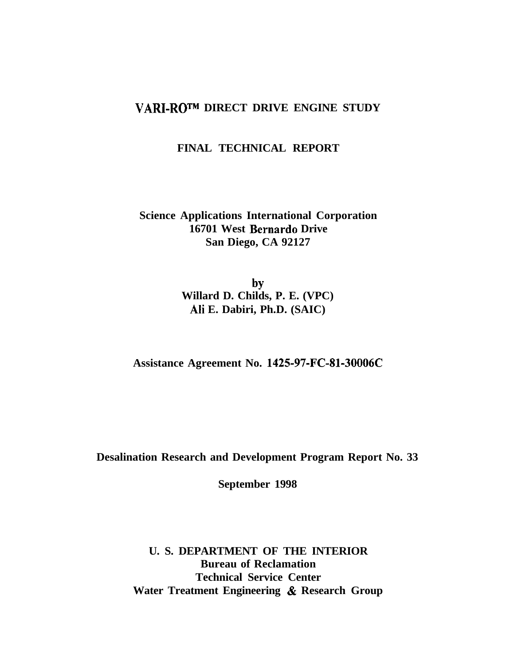## **VARI-ROTM DIRECT DRIVE ENGINE STUDY**

## **FINAL TECHNICAL REPORT**

## **Science Applications International Corporation 16701 West Bernard0 Drive San Diego, CA 92127**

by **Willard D. Childs, P. E. (VPC) Ah E. Dabiri, Ph.D. (SAIC)**

**Assistance Agreement No. 1425-97-FC-Sl-30006C**

**Desalination Research and Development Program Report No. 33**

**September 1998**

**U. S. DEPARTMENT OF THE INTERIOR Bureau of Reclamation Technical Service Center Water Treatment Engineering & Research Group**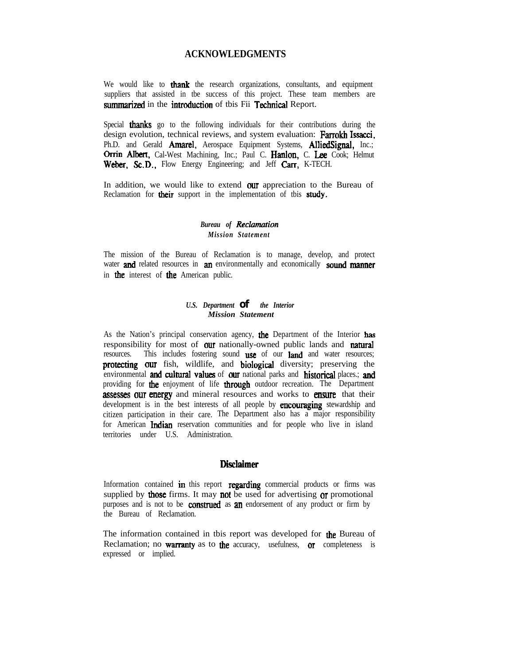#### **ACKNOWLEDGMENTS**

We would like to **thank** the research organizations, consultants, and equipment suppliers that assisted in tbe success of this project. These team members are summarized in the introduction of tbis Fii Technical Report.

Special **thanks** go to the following individuals for their contributions during the design evolution, technical reviews, and system evaluation: Farrokh Issacci, Ph.D. and Gerald **Amarel**, Aerospace Equipment Systems, **AlliedSignal**, Inc.; Orrin Albert, Cal-West Machining, Inc.; Paul C. Hanlon, C. Lee Cook; Helmut Weber. Sc.D., Flow Energy Engineering; and Jeff Carr, K-TECH.

In addition, we would like to extend **our** appreciation to the Bureau of Reclamation for **their** support in the implementation of this **study**.

#### **Bureau** of *Reclamation Mission Statement*

The mission of the Bureau of Reclamation is to manage, develop, and protect water and related resources in an environmentally and economically sound manner in **the** interest of **the** American public.

#### *U.S. Department of the Interior Mission Statement*

As the Nation's principal conservation agency, the Department of the Interior has responsibility for most of **our** nationally-owned public lands and **natural** resources. This includes fostering sound use of our land and water resources; protecting our fish, wildlife, and biological diversity; preserving the environmental and cultural values of our national parks and historical places.; and providing for the enjoyment of life through outdoor recreation. The Department assesses our energy and mineral resources and works to ensure that their development is in the best interests of all people by **encouraging** stewardship and citizen participation in their care. The Department also has a major responsibility for American **Indian** reservation communities and for people who live in island territories under U.S. Administration.

#### **Disclaimer**

Information contained  $\mathbf{in}$  this report regarding commercial products or firms was supplied by **those** firms. It may **not** be used for advertising  $\alpha$  promotional purposes and is not to be **construed** as **an** endorsement of any product or firm by the Bureau of Reclamation.

The information contained in tbis report was developed for the Bureau of Reclamation; no **warranty** as to the accuracy, usefulness, or completeness is expressed or implied.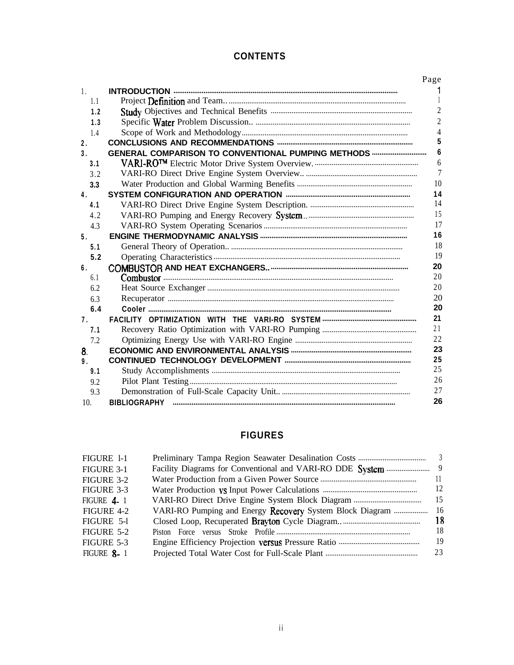## **CONTENTS**

|                |                                                    | Page           |
|----------------|----------------------------------------------------|----------------|
| $\mathbf{1}$ . |                                                    |                |
| 1.1            |                                                    |                |
| 1.2            |                                                    | $\overline{2}$ |
| 1.3            |                                                    | $\overline{2}$ |
| 1.4            |                                                    | 4              |
| 2.             |                                                    | 5              |
| 3 <sub>1</sub> | GENERAL COMPARISON TO CONVENTIONAL PUMPING METHODS | 6              |
| 3.1            |                                                    | 6              |
| 3.2            |                                                    | $\overline{7}$ |
| 3.3            |                                                    | 10             |
| 4.             |                                                    | 14             |
| 4.1            |                                                    | 14             |
| 4.2            |                                                    | 15             |
| 4.3            |                                                    | 17             |
| 5.             |                                                    | 16             |
| 5.1            |                                                    | 18             |
| 5.2            |                                                    | 19             |
| 6.             |                                                    | 20             |
| 6.1            |                                                    | 20             |
| 6.2            |                                                    | 20             |
| 6.3            |                                                    | 20             |
| 6.4            |                                                    | 20             |
| 7.             |                                                    | 21             |
| 7.1            |                                                    | 21             |
| 7.2            |                                                    | 22             |
| 8.             |                                                    | 23             |
| 9.             |                                                    | 25             |
| 9.1            |                                                    | 25             |
| 9.2            |                                                    | 26             |
| 9.3            |                                                    | 27             |
| 10.            | <b>BIBLIOGRAPHY</b>                                | 26             |

## **FIGURES**

| FIGURE 1-1        |                                                          |     |
|-------------------|----------------------------------------------------------|-----|
| FIGURE 3-1        |                                                          | - 9 |
| FIGURE 3-2        |                                                          | 11  |
| FIGURE 3-3        |                                                          | 12  |
| FIGURE $4-1$      |                                                          | 15  |
| FIGURE 4-2        | VARI-RO Pumping and Energy Recovery System Block Diagram | 16  |
| FIGURE 5-1        |                                                          | 18  |
| FIGURE 5-2        |                                                          | 18  |
| FIGURE 5-3        |                                                          | 19  |
| <b>FIGURE 8-1</b> |                                                          | 23  |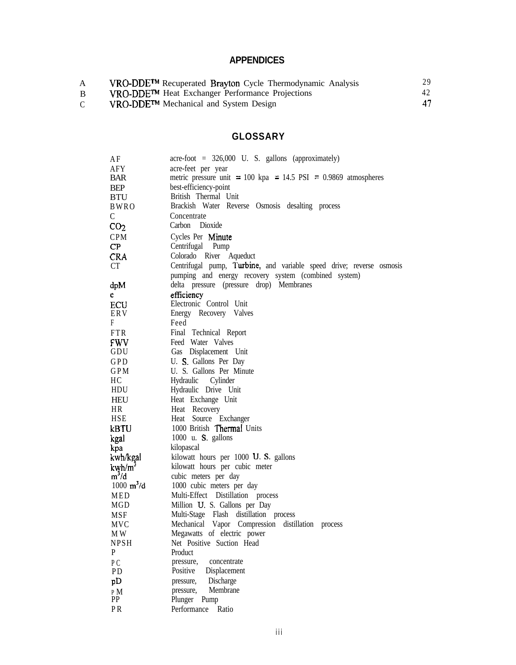## **APPENDICES**

| A | VRO-DDE™ Recuperated Brayton Cycle Thermodynamic Analysis | 29 |
|---|-----------------------------------------------------------|----|
| B | VRO-DDE™ Heat Exchanger Performance Projections           | 42 |
|   | VRO-DDE™ Mechanical and System Design                     |    |

## **GLOSSARY**

| ΑF                          | $\text{acre-foot} = 326,000 \text{ U. S. gallons (approximately)}$   |
|-----------------------------|----------------------------------------------------------------------|
| AFY                         | acre-feet per year                                                   |
| <b>BAR</b>                  | metric pressure unit = 100 kpa = 14.5 PSI = 0.9869 atmospheres       |
| BEP                         | best-efficiency-point                                                |
| <b>BTU</b>                  | British Thermal Unit                                                 |
| BWRO                        | Brackish Water Reverse Osmosis desalting process                     |
| C                           | Concentrate                                                          |
| CO <sub>2</sub>             | Carbon Dioxide                                                       |
| <b>CPM</b>                  | Cycles Per Minute                                                    |
| $\mathsf{CP}$               | Centrifugal Pump                                                     |
| <b>CRA</b>                  | Colorado River Aqueduct                                              |
| CT                          | Centrifugal pump, Turbine, and variable speed drive; reverse osmosis |
|                             |                                                                      |
|                             | pumping and energy recovery system (combined system)                 |
| dpM                         | delta pressure (pressure drop) Membranes                             |
| e                           | efficiency                                                           |
| ECU                         | Electronic Control Unit                                              |
| ERV                         | Energy Recovery Valves                                               |
| F                           | Feed                                                                 |
| <b>FTR</b>                  | Final Technical Report                                               |
| FWV -                       | Feed Water Valves                                                    |
| GDU                         | Gas Displacement Unit                                                |
| GPD                         | U. S. Gallons Per Day                                                |
| GPM                         | U. S. Gallons Per Minute                                             |
| HС                          | Hydraulic Cylinder                                                   |
| HDU                         | Hydraulic Drive Unit                                                 |
| HEU                         | Heat Exchange Unit                                                   |
| HR                          | Heat Recovery                                                        |
| <b>HSE</b>                  | Heat Source Exchanger                                                |
| kBTU                        | 1000 British Thermal Units                                           |
| kgal                        | 1000 u. $S$ . gallons                                                |
| kpa                         | kilopascal                                                           |
| kwh/kgal                    | kilowatt hours per 1000 U.S. gallons                                 |
| kwh/m <sup>3</sup>          | kilowatt hours per cubic meter                                       |
| $m^3/d$                     | cubic meters per day                                                 |
| $1000 \text{ m}^3/\text{d}$ | 1000 cubic meters per day                                            |
| MED                         | Multi-Effect Distillation process                                    |
| MGD                         | Million U. S. Gallons per Day                                        |
| MSF                         | Multi-Stage Flash distillation process                               |
| MVC                         | Mechanical Vapor Compression distillation<br>process                 |
| M W                         | Megawatts of electric power                                          |
| <b>NPSH</b>                 | Net Positive Suction Head                                            |
| P                           | Product                                                              |
| P <sub>C</sub>              | pressure,<br>concentrate                                             |
| PD                          | Positive<br>Displacement                                             |
| pD                          | Discharge<br>pressure,                                               |
| $\rm P~M$                   | Membrane<br>pressure,                                                |
| PP                          | Plunger<br>Pump                                                      |
| PR                          | Performance<br>Ratio                                                 |
|                             |                                                                      |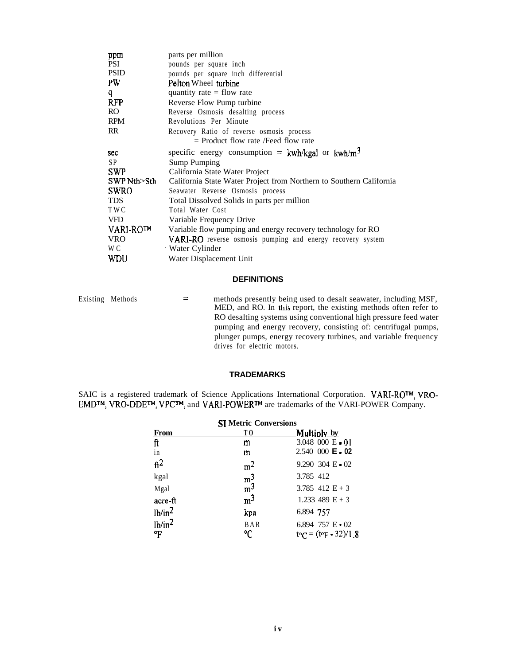| ppm         | parts per million                                                   |  |  |  |
|-------------|---------------------------------------------------------------------|--|--|--|
| <b>PSI</b>  | pounds per square inch                                              |  |  |  |
| <b>PSID</b> | pounds per square inch differential                                 |  |  |  |
| <b>PW</b>   | Pelton Wheel turbine                                                |  |  |  |
| q           | quantity rate $=$ flow rate                                         |  |  |  |
| <b>RFP</b>  | Reverse Flow Pump turbine                                           |  |  |  |
| RO.         | Reverse Osmosis desalting process                                   |  |  |  |
| <b>RPM</b>  | Revolutions Per Minute                                              |  |  |  |
| RR.         | Recovery Ratio of reverse osmosis process                           |  |  |  |
|             | $=$ Product flow rate /Feed flow rate                               |  |  |  |
| sec         | specific energy consumption = $kwh/kgal$ or $kwh/m3$                |  |  |  |
| SP.         | Sump Pumping                                                        |  |  |  |
| <b>SWP</b>  | California State Water Project                                      |  |  |  |
| SWP Nth>Sth | California State Water Project from Northern to Southern California |  |  |  |
| <b>SWRO</b> | Seawater Reverse Osmosis process                                    |  |  |  |
| <b>TDS</b>  | Total Dissolved Solids in parts per million                         |  |  |  |
| TWC         | Total Water Cost                                                    |  |  |  |
| <b>VFD</b>  | Variable Frequency Drive                                            |  |  |  |
| VARI-RO™    | Variable flow pumping and energy recovery technology for RO         |  |  |  |
| <b>VRO</b>  | <b>VARI-RO</b> reverse osmosis pumping and energy recovery system   |  |  |  |
| W C         | <b>Water Cylinder</b>                                               |  |  |  |
| <b>WDU</b>  | Water Displacement Unit                                             |  |  |  |

#### **DEFINITIONS**

Existing Methods

**<sup>=</sup>** methods presently being used to desalt seawater, including MSF, MED, and RO. In this report, the existing methods often refer to RO desalting systems using conventional high pressure feed water pumping and energy recovery, consisting of: centrifugal pumps, plunger pumps, energy recovery turbines, and variable frequency drives for electric motors.

#### **TRADEMARKS**

SAIC is a registered trademark of Science Applications International Corporation. VARI-RO<sup>TM</sup>, VRO-EMD<sup>™</sup>, VRO-DDE™, VPC™, and VARI-POWER™ are trademarks of the VARI-POWER Company.

| <b>SI Metric Conversions</b>          |                 |                                                  |  |  |
|---------------------------------------|-----------------|--------------------------------------------------|--|--|
| <b>From</b>                           | ТO              | Multiply by                                      |  |  |
| ft                                    | m               | $3.048$ 000 E 01                                 |  |  |
| in                                    | m               | $2.540\ 000$ E $\cdot$ 02                        |  |  |
| $\mathrm{ft}^2$                       | m <sup>2</sup>  | 9.290 304 E 02                                   |  |  |
| kgal                                  | m <sup>3</sup>  | 3.785 412                                        |  |  |
| Mgal                                  | m <sup>3</sup>  | 3.785 412 $E + 3$                                |  |  |
| acre-ft                               | m <sup>3</sup>  | 1.233 489 $E + 3$                                |  |  |
| lb/in <sup>2</sup>                    | kpa             | 6.894 757                                        |  |  |
| 1 <sup>b</sup> /in <sup>2</sup><br>°F | <b>BAR</b><br>℃ | 6.894 757 $E \cdot 02$<br>$teC = (teF - 32)/1.8$ |  |  |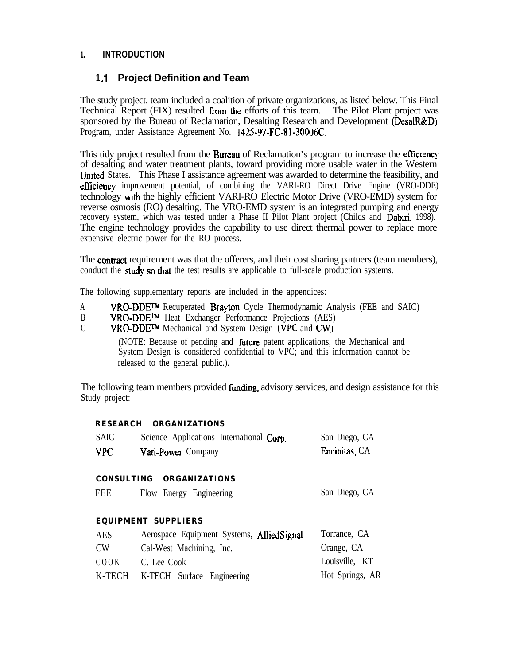### **1. INTRODUCTION**

## **1.1 Project Definition and Team**

The study project. team included a coalition of private organizations, as listed below. This Final Technical Report (FIX) resulted from the efforts of this team. The Pilot Plant project was sponsored by the Bureau of Reclamation, Desalting Research and Development (DesalR&D) Program, under Assistance Agreement No. 1425-97-FC-81-30006C.

This tidy project resulted from the **Bureau** of Reclamation's program to increase the efficiency of desalting and water treatment plants, toward providing more usable water in the Western United States. This Phase I assistance agreement was awarded to determine the feasibility, and effuziency improvement potential, of combining the VARI-RO Direct Drive Engine (VRO-DDE) technology with the highly efficient VARI-RO Electric Motor Drive (VRO-EMD) system for reverse osmosis (RO) desalting. The VRO-EMD system is an integrated pumping and energy recovery system, which was tested under a Phase II Pilot Plant project (Childs and Dabiri, 1998). The engine technology provides the capability to use direct thermal power to replace more expensive electric power for the RO process.

The **contract** requirement was that the offerers, and their cost sharing partners (team members), conduct the **study so that** the test results are applicable to full-scale production systems.

The following supplementary reports are included in the appendices:

- A **VRO-DDE<sup>TM</sup>** Recuperated **Brayton** Cycle Thermodynamic Analysis (FEE and SAIC)
- B VRO-DDE<sup>TM</sup> Heat Exchanger Performance Projections (AES)<br>C VRO-DDE<sup>TM</sup> Mechanical and System Design (VPC and CW)
- VRO-DDE<sup>TM</sup> Mechanical and System Design (VPC and CW)

(NOTE: Because of pending and future patent applications, the Mechanical and System Design is considered confidential to VPC; and this information cannot be released to the general public.).

The following team members provided funding, advisory services, and design assistance for this Study project:

#### **RESEARCH ORGANIZATIONS**

| <b>SAIC</b> | Science Applications International Corp. | San Diego, CA         |
|-------------|------------------------------------------|-----------------------|
| <b>VPC</b>  | Vari-Power Company                       | <b>Encinitas</b> , CA |

#### **CONSULTING ORGANIZATIONS**

| FEE |  | Flow Energy Engineering | San Diego, CA |
|-----|--|-------------------------|---------------|
|     |  |                         |               |

#### **EQUIPMENT SUPPLIERS**

| <b>AES</b>     | Aerospace Equipment Systems, AlliedSignal | Torrance, CA    |
|----------------|-------------------------------------------|-----------------|
| CW <sub></sub> | Cal-West Machining, Inc.                  | Orange, CA      |
| COOK           | C. Lee Cook                               | Louisville, KT  |
|                | K-TECH K-TECH Surface Engineering         | Hot Springs, AR |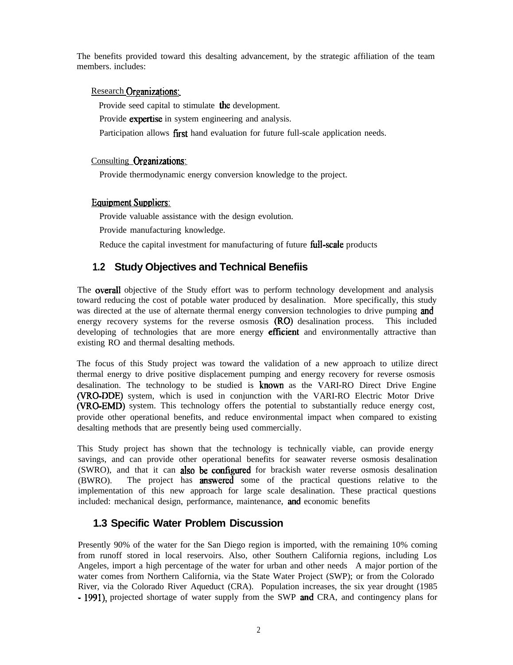The benefits provided toward this desalting advancement, by the strategic affiliation of the team members. includes:

#### Research Organizations:

Provide seed capital to stimulate the development.

Provide expertise in system engineering and analysis.

Participation allows first hand evaluation for future full-scale application needs.

#### Consulting Oreanizations:

Provide thermodynamic energy conversion knowledge to the project.

#### Equipment Suppliers:

Provide valuable assistance with the design evolution.

Provide manufacturing knowledge.

Reduce the capital investment for manufacturing of future full-scale products

## **1.2 Study Objectives and Technical Benefiis**

The **overall** objective of the Study effort was to perform technology development and analysis toward reducing the cost of potable water produced by desalination. More specifically, this study was directed at the use of alternate thermal energy conversion technologies to drive pumping **and** energy recovery systems for the reverse osmosis **(RO)** desalination process. This included developing of technologies that are more energy **efficient** and environmentally attractive than existing RO and thermal desalting methods.

The focus of this Study project was toward the validation of a new approach to utilize direct thermal energy to drive positive displacement pumping and energy recovery for reverse osmosis desalination. The technology to be studied is **known** as the VARI-RO Direct Drive Engine MO-DDE) system, which is used in conjunction with the VARI-RO Electric Motor Drive (VRO-EMD) system. This technology offers the potential to substantially reduce energy cost, provide other operational benefits, and reduce environmental impact when compared to existing desalting methods that are presently being used commercially.

This Study project has shown that the technology is technically viable, can provide energy savings, and can provide other operational benefits for seawater reverse osmosis desalination (SWRO), and that it can **also be configured** for brackish water reverse osmosis desalination (BWRO). The project has answered some of the practical questions relative to the implementation of this new approach for large scale desalination. These practical questions included: mechanical design, performance, maintenance, and economic benefits

## **1.3 Specific Water Problem Discussion**

Presently 90% of the water for the San Diego region is imported, with the remaining 10% coming from runoff stored in local reservoirs. Also, other Southern California regions, including Los Angeles, import a high percentage of the water for urban and other needs A major portion of the water comes from Northern California, via the State Water Project (SWP); or from the Colorado River, via the Colorado River Aqueduct (CRA). Population increases, the six year drought (1985 - 1991), projected shortage of water supply from the SWP and CRA, and contingency plans for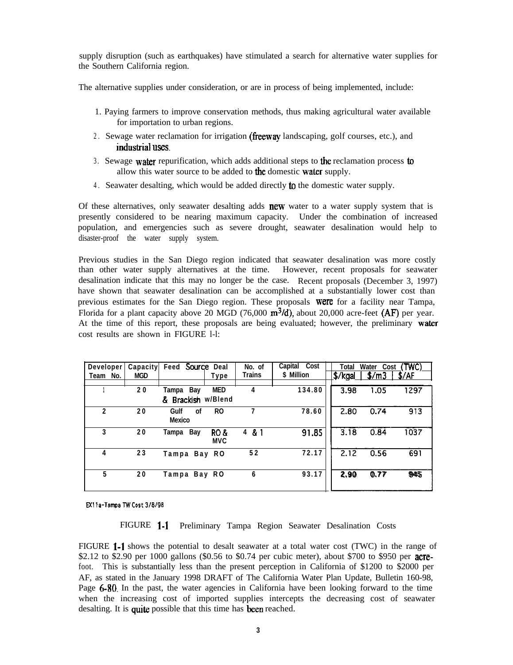supply disruption (such as earthquakes) have stimulated a search for alternative water supplies for the Southern California region.

The alternative supplies under consideration, or are in process of being implemented, include:

- 1. Paying farmers to improve conservation methods, thus making agricultural water available for importation to urban regions.
- 2. Sewage water reclamation for irrigation (freeway landscaping, golf courses, etc.), and industrial uses.
- 3 . Sewage water repurification, which adds additional steps to the reclamation process to allow this water source to be added to the domestic water supply.
- 4 . Seawater desalting, which would be added directly to the domestic water supply.

Of these alternatives, only seawater desalting adds  $new$  water to a water supply system that is presently considered to be nearing maximum capacity. Under the combination of increased population, and emergencies such as severe drought, seawater desalination would help to disaster-proof the water supply system.

Previous studies in the San Diego region indicated that seawater desalination was more costly than other water supply alternatives at the time. However, recent proposals for seawater desalination indicate that this may no longer be the case. Recent proposals (December 3, 1997) have shown that seawater desalination can be accomplished at a substantially lower cost than previous estimates for the San Diego region. These proposals were for a facility near Tampa, Florida for a plant capacity above 20 MGD (76,000  $m^3/d$ ), about 20,000 acre-feet (AF) per year. At the time of this report, these proposals are being evaluated; however, the preliminary water cost results are shown in FIGURE l-l:

| Developer      | Capacity   | Feed Source Deal                |                    | No. of         | Capital Cost | Total             | Water Cost | (TWC) |
|----------------|------------|---------------------------------|--------------------|----------------|--------------|-------------------|------------|-------|
| Team No.       | <b>MGD</b> |                                 | Type               | <b>Trains</b>  | \$ Million   | <u> </u> \$/kgal_ | \$/m3      | \$/AF |
|                | 20         | Tampa Bay<br>& Brackish w/Blend | MED                | $\overline{4}$ | 134.80       | 3.98              | 1.05       | 1297  |
| $\mathfrak{p}$ | 20         | Gulf<br>0f<br><b>Mexico</b>     | <b>RO</b>          | 7              | 78.60        | 2.80              | 0.74       | 913   |
| 3              | 20         | Tampa Bay                       | RO &<br><b>MVC</b> | 4 & 1          | 91.85        | 3.18              | 0.84       | 1037  |
| 4              | 23         | Tampa Bay RO                    |                    | 52             | 72.17        | 2.12              | 0.56       | 691   |
| 5              | 20         | Tampa Bay RO                    |                    | 6              | 93.17        | 2.90              | 0.77       | 945   |

#### EX11a-Tampa TW Cost 3/8/98

FIGURE 1-l Preliminary Tampa Region Seawater Desalination Costs

FIGURE l-1 shows the potential to desalt seawater at a total water cost (TWC) in the range of \$2.12 to \$2.90 per 1000 gallons (\$0.56 to \$0.74 per cubic meter), about \$700 to \$950 per **acre**foot. This is substantially less than the present perception in California of \$1200 to \$2000 per AF, as stated in the January 1998 DRAFT of The California Water Plan Update, Bulletin 160-98, Page **6-80**. In the past, the water agencies in California have been looking forward to the time when the increasing cost of imported supplies intercepts the decreasing cost of seawater desalting. It is quite possible that this time has been reached.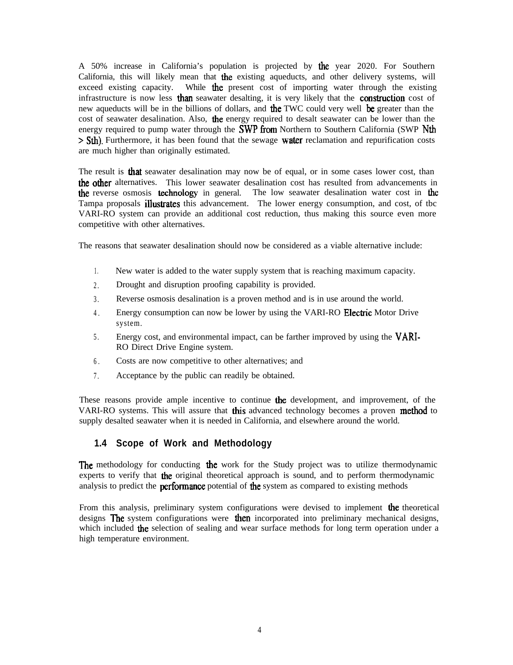A 50% increase in California's population is projected by the year 2020. For Southern California, this will likely mean that the existing aqueducts, and other delivery systems, will exceed existing capacity. While **the** present cost of importing water through the existing infrastructure is now less than seawater desalting, it is very likely that the construction cost of new aqueducts will be in the billions of dollars, and the TWC could very well be greater than the cost of seawater desalination. Also, the energy required to desalt seawater can be lower than the energy required to pump water through the  $SWP$  from Northern to Southern California (SWP Nth  $>$  Sth). Furthermore, it has been found that the sewage **water** reclamation and repurification costs are much higher than originally estimated.

The result is **that** seawater desalination may now be of equal, or in some cases lower cost, than the other alternatives. This lower seawater desalination cost has resulted from advancements in the reverse osmosis technology in general. The low seawater desalination water cost in the Tampa proposals **illustrates** this advancement. The lower energy consumption, and cost, of tbc VARI-RO system can provide an additional cost reduction, thus making this source even more competitive with other alternatives.

The reasons that seawater desalination should now be considered as a viable alternative include:

- 1. New water is added to the water supply system that is reaching maximum capacity.
- 2. Drought and disruption proofing capability is provided.
- 3 . Reverse osmosis desalination is a proven method and is in use around the world.
- 4. Energy consumption can now be lower by using the VARI-RO Electric Motor Drive system.
- 5 . Energy cost, and environmental impact, can be farther improved by using the VARI-RO Direct Drive Engine system.
- 6 . Costs are now competitive to other alternatives; and
- 7 . Acceptance by the public can readily be obtained.

These reasons provide ample incentive to continue the development, and improvement, of the VARI-RO systems. This will assure that this advanced technology becomes a proven method to supply desalted seawater when it is needed in California, and elsewhere around the world.

#### **1.4 Scope of Work and Methodology**

The methodology for conducting the work for the Study project was to utilize thermodynamic experts to verify that the original theoretical approach is sound, and to perform thermodynamic analysis to predict the **performance** potential of **the** system as compared to existing methods

From this analysis, preliminary system configurations were devised to implement the theoretical designs **The** system configurations were **then** incorporated into preliminary mechanical designs, which included the selection of sealing and wear surface methods for long term operation under a high temperature environment.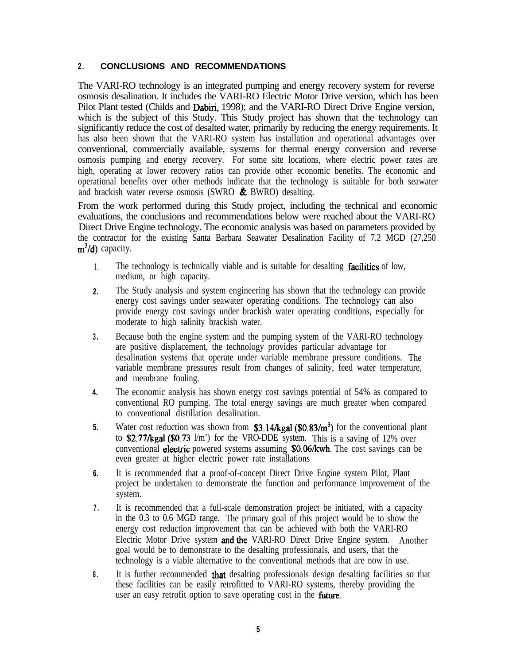### **2 . CONCLUSIONS AND RECOMMENDATIONS**

The VARI-RO technology is an integrated pumping and energy recovery system for reverse osmosis desalination. It includes the VARI-RO Electric Motor Drive version, which has been Pilot Plant tested (Childs and Dabiri, 1998); and the VARI-RO Direct Drive Engine version, which is the subject of this Study. This Study project has shown that the technology can significantly reduce the cost of desalted water, primarily by reducing the energy requirements. It has also been shown that the VARI-RO system has installation and operational advantages over conventional, commercially available, systems for thermal energy conversion and reverse osmosis pumping and energy recovery. For some site locations, where electric power rates are high, operating at lower recovery ratios can provide other economic benefits. The economic and operational benefits over other methods indicate that the technology is suitable for both seawater and brackish water reverse osmosis (SWRO & BWRO) desalting.

From the work performed during this Study project, including the technical and economic evaluations, the conclusions and recommendations below were reached about the VARI-RO Direct Drive Engine technology. The economic analysis was based on parameters provided by the contractor for the existing Santa Barbara Seawater Desalination Facility of 7.2 MGD (27,250  $m^3/d$ ) capacity.

- 1. The technology is technically viable and is suitable for desalting **facilities** of low, medium, or high capacity.
- **2.** The Study analysis and system engineering has shown that the technology can provide energy cost savings under seawater operating conditions. The technology can also provide energy cost savings under brackish water operating conditions, especially for moderate to high salinity brackish water.
- **3 .** Because both the engine system and the pumping system of the VARI-RO technology are positive displacement, the technology provides particular advantage for desalination systems that operate under variable membrane pressure conditions. The variable membrane pressures result from changes of salinity, feed water temperature, and membrane fouling.
- **4.** The economic analysis has shown energy cost savings potential of 54% as compared to conventional RO pumping. The total energy savings are much greater when compared to conventional distillation desalination.
- **5.** Water cost reduction was shown from  $$3.14/\text{kgal}$  ( $$0.83/\text{m}^3$ ) for the conventional plant to \$2.77/kgal (\$0.73 l/m') for the VRO-DDE system. This is a saving of 12% over conventional electric powered systems assuming \$0.06/kwh. The cost savings can be even greater at higher electric power rate installations
- **6.** It is recommended that a proof-of-concept Direct Drive Engine system Pilot, Plant project be undertaken to demonstrate the function and performance improvement of the system.
- **7 .** It is recommended that a full-scale demonstration project be initiated, with a capacity in the 0.3 to 0.6 MGD range. The primary goal of this project would be to show the energy cost reduction improvement that can be achieved with both the VARI-RO Electric Motor Drive system and the VARI-RO Direct Drive Engine system. Another goal would be to demonstrate to the desalting professionals, and users, that the technology is a viable alternative to the conventional methods that are now in use.
- **8 .** It is further recommended that desalting professionals design desalting facilities so that these facilities can be easily retrofitted to VARI-RO systems, thereby providing the user an easy retrofit option to save operating cost in the future.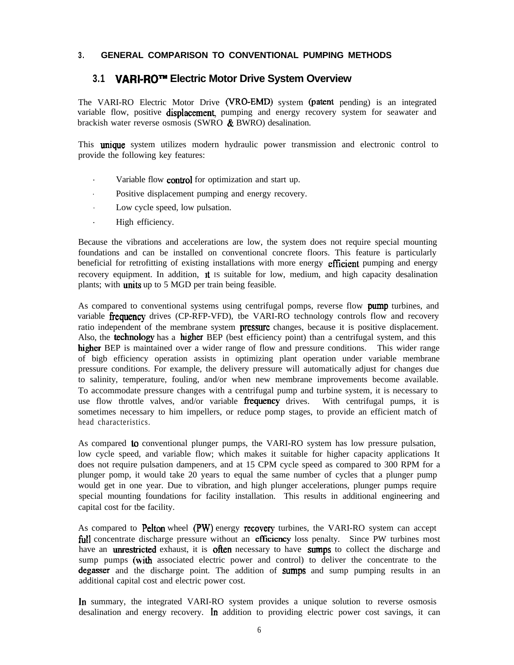#### **3 . GENERAL COMPARISON TO CONVENTIONAL PUMPING METHODS**

### **3.1 VARI-ROTM Electric Motor Drive System Overview**

The VARI-RO Electric Motor Drive (VRO-EMD) system (patent pending) is an integrated variable flow, positive **displacement** pumping and energy recovery system for seawater and brackish water reverse osmosis (SWRO & BWRO) desalination.

This **unique** system utilizes modern hydraulic power transmission and electronic control to provide the following key features:

- Variable flow **control** for optimization and start up.
- . Positive displacement pumping and energy recovery.
- . Low cycle speed, low pulsation.
- . High efficiency.

Because the vibrations and accelerations are low, the system does not require special mounting foundations and can be installed on conventional concrete floors. This feature is particularly beneficial for retrofitting of existing installations with more energy **efficient** pumping and energy recovery equipment. In addition, It IS suitable for low, medium, and high capacity desalination plants; with **units** up to 5 MGD per train being feasible.

As compared to conventional systems using centrifugal pomps, reverse flow **pump** turbines, and variable frequency drives (CP-RFP-VFD), tbe VARI-RO technology controls flow and recovery ratio independent of the membrane system **pressure** changes, because it is positive displacement. Also, the **technology** has a **higher** BEP (best efficiency point) than a centrifugal system, and this higher BEP is maintained over a wider range of flow and pressure conditions. This wider range of bigb efficiency operation assists in optimizing plant operation under variable membrane pressure conditions. For example, the delivery pressure will automatically adjust for changes due to salinity, temperature, fouling, and/or when new membrane improvements become available. To accommodate pressure changes with a centrifugal pump and turbine system, it is necessary to use flow throttle valves, and/or variable **frequency** drives. With centrifugal pumps, it is sometimes necessary to him impellers, or reduce pomp stages, to provide an efficient match of head characteristics.

As compared **to** conventional plunger pumps, the VARI-RO system has low pressure pulsation, low cycle speed, and variable flow; which makes it suitable for higher capacity applications It does not require pulsation dampeners, and at 15 CPM cycle speed as compared to 300 RPM for a plunger pomp, it would take 20 years to equal the same number of cycles that a plunger pump would get in one year. Due to vibration, and high plunger accelerations, plunger pumps require special mounting foundations for facility installation. This results in additional engineering and capital cost for tbe facility.

As compared to **Pelton** wheel (PW) energy **recovery** turbines, the VARI-RO system can accept full concentrate discharge pressure without an **efficiency** loss penalty. Since PW turbines most have an **unrestricted** exhaust, it is **often** necessary to have **sumps** to collect the discharge and sump pumps (with associated electric power and control) to deliver the concentrate to the degasser and the discharge point. The addition of sumps and sump pumping results in an additional capital cost and electric power cost.

In summary, the integrated VARI-RO system provides a unique solution to reverse osmosis desalination and energy recovery. In addition to providing electric power cost savings, it can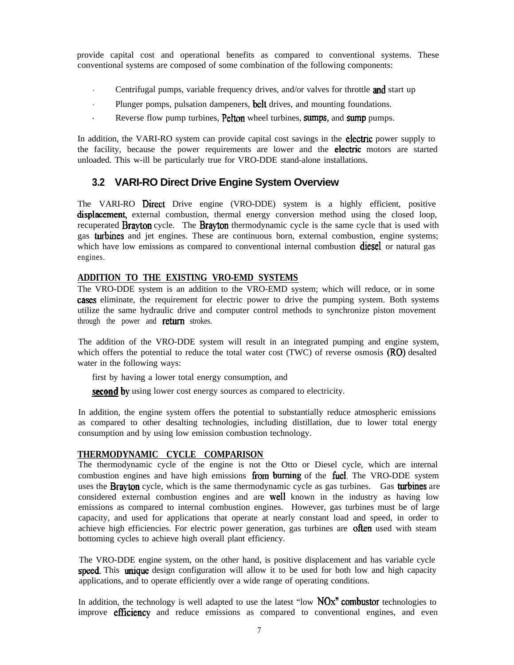provide capital cost and operational benefits as compared to conventional systems. These conventional systems are composed of some combination of the following components:

- **Centrifugal pumps, variable frequency drives, and/or valves for throttle and start up**
- Plunger pomps, pulsation dampeners, **belt** drives, and mounting foundations.
- Reverse flow pump turbines, Pelton wheel turbines, sumps, and sump pumps.

In addition, the VARI-RO system can provide capital cost savings in the **electric** power supply to the facility, because the power requirements are lower and the electric motors are started unloaded. This w-ill be particularly true for VRO-DDE stand-alone installations.

## **3.2 VARI-RO Direct Drive Engine System Overview**

The VARI-RO Direct Drive engine (VRO-DDE) system is a highly efficient, positive displacement, external combustion, thermal energy conversion method using the closed loop, recuperated **Brayton** cycle. The **Brayton** thermodynamic cycle is the same cycle that is used with gas turbines and jet engines. These are continuous born, external combustion, engine systems; which have low emissions as compared to conventional internal combustion **diesel** or natural gas engines.

#### **ADDITION TO THE EXISTING VRO-EMD SYSTEMS**

The VRO-DDE system is an addition to the VRO-EMD system; which will reduce, or in some cases eliminate, the requirement for electric power to drive the pumping system. Both systems utilize the same hydraulic drive and computer control methods to synchronize piston movement through the power and **return** strokes.

The addition of the VRO-DDE system will result in an integrated pumping and engine system, which offers the potential to reduce the total water cost (TWC) of reverse osmosis **(RO)** desalted water in the following ways:

first by having a lower total energy consumption, and

**second** by using lower cost energy sources as compared to electricity.

In addition, the engine system offers the potential to substantially reduce atmospheric emissions as compared to other desalting technologies, including distillation, due to lower total energy consumption and by using low emission combustion technology.

### **THERMODYNAMIC CYCLE COMPARISON**

The thermodynamic cycle of the engine is not the Otto or Diesel cycle, which are internal combustion engines and have high emissions from burning of the fuel. The VRO-DDE system uses the **Brayton** cycle, which is the same thermodynamic cycle as gas turbines. Gas turbines are considered external combustion engines and are well known in the industry as having low emissions as compared to internal combustion engines. However, gas turbines must be of large capacity, and used for applications that operate at nearly constant load and speed, in order to achieve high efficiencies. For electric power generation, gas turbines are often used with steam bottoming cycles to achieve high overall plant efficiency.

The VRO-DDE engine system, on the other hand, is positive displacement and has variable cycle speed. This unique design configuration will allow it to be used for both low and high capacity applications, and to operate efficiently over a wide range of operating conditions.

In addition, the technology is well adapted to use the latest "low  $NOx$ " combustor technologies to improve **efficiency** and reduce emissions as compared to conventional engines, and even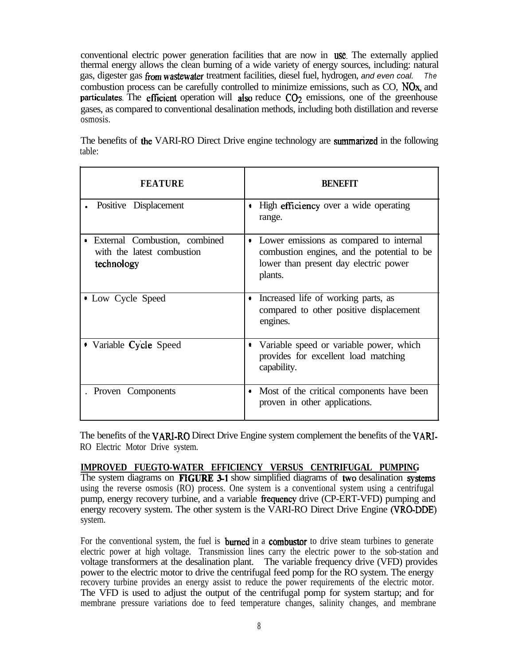conventional electric power generation facilities that are now in use. The externally applied thermal energy allows the clean burning of a wide variety of energy sources, including: natural gas, digester gas Tom wastewater treatment facilities, diesel fuel, hydrogen, *and even coal. The* combustion process can be carefully controlled to minimize emissions, such as CO, NOx, and particulates. The efficient operation will also reduce  $CO<sub>2</sub>$  emissions, one of the greenhouse gases, as compared to conventional desalination methods, including both distillation and reverse osmosis.

The benefits of the VARI-RO Direct Drive engine technology are summarized in the following table:

| <b>FEATURE</b>                                                                         | <b>BENEFIT</b>                                                                                                                                  |  |  |
|----------------------------------------------------------------------------------------|-------------------------------------------------------------------------------------------------------------------------------------------------|--|--|
| Positive Displacement                                                                  | High efficiency over a wide operating<br>۰<br>range.                                                                                            |  |  |
| External Combustion, combined<br>$\bullet$<br>with the latest combustion<br>technology | Lower emissions as compared to internal<br>٠<br>combustion engines, and the potential to be<br>lower than present day electric power<br>plants. |  |  |
| • Low Cycle Speed                                                                      | Increased life of working parts, as<br>٠<br>compared to other positive displacement<br>engines.                                                 |  |  |
| • Variable Cycle Speed                                                                 | Variable speed or variable power, which<br>۰<br>provides for excellent load matching<br>capability.                                             |  |  |
| Proven Components                                                                      | Most of the critical components have been<br>$\blacksquare$<br>proven in other applications.                                                    |  |  |

The benefits of the VARI-RO Direct Drive Engine system complement the benefits of the VARI-RO Electric Motor Drive system.

### **IMPROVED FUEGTO-WATER EFFICIENCY VERSUS CENTRIFUGAL PUMPING**

The system diagrams on **FIGURE 3-1** show simplified diagrams of two desalination systems using the reverse osmosis (RO) process. One system is a conventional system using a centrifugal pump, energy recovery turbine, and a variable frequency drive (CP-ERT-VFD) pumping and energy recovery system. The other system is the VARI-RO Direct Drive Engine (VRO-DDE) system.

For the conventional system, the fuel is **burned** in a **combustor** to drive steam turbines to generate electric power at high voltage. Transmission lines carry the electric power to the sob-station and voltage transformers at the desalination plant. The variable frequency drive (VFD) provides power to the electric motor to drive the centrifugal feed pomp for the RO system. The energy recovery turbine provides an energy assist to reduce the power requirements of the electric motor. The VFD is used to adjust the output of the centrifugal pomp for system startup; and for membrane pressure variations doe to feed temperature changes, salinity changes, and membrane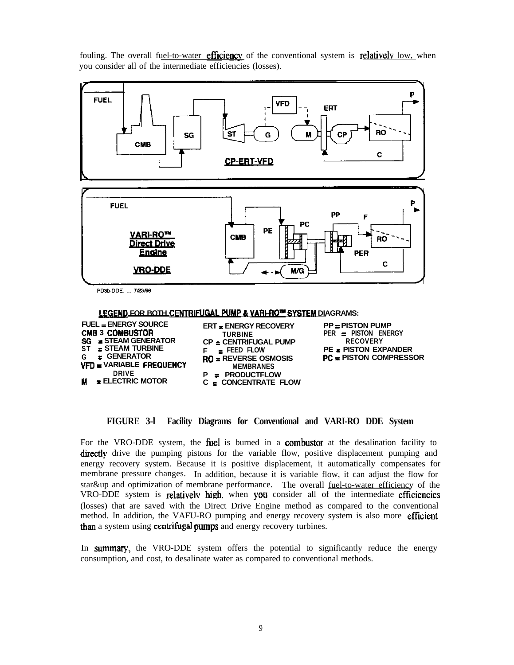fouling. The overall fuel-to-water **efficiency** of the conventional system is **relatively** low, when you consider all of the intermediate efficiencies (losses).



PD3b-DDE. ... 7/23/98

**LEGEND FOR BOTH CENTRIFUGAL PUMP & VARI-RO™ SYSTEM DIAGRAMS:** 

| FUEL $=$ ENERGY SOURCE                                                                       | <b>ERT  ENERGY RECOVERY</b>                                                               | $PP = PISTON$ PUN          |
|----------------------------------------------------------------------------------------------|-------------------------------------------------------------------------------------------|----------------------------|
| <b>CMB 3 COMBUSTOR</b>                                                                       | <b>TURBINE</b>                                                                            | $PER = PISTON$ EN          |
| $SG = STEAM GENERATOR$                                                                       | $CP = CENTRIFUGAL$ PUMP                                                                   | <b>RECOVERY</b>            |
| $ST = STEAM TURBINE$                                                                         | $F = EED$ FLOW                                                                            | <b>PE &amp; PISTON EXI</b> |
| $G = E$ GENERATOR<br><b>VFD = VARIABLE FREQUENCY</b><br><b>DRIVE</b><br>$M = ELECTRIC MOTOR$ | $RO = REVERSE OSMOSIS$<br><b>MEMBRANES</b><br>$P = PRODUCTFLOW$<br>$C = CONCENTRATE FLOW$ | $PC = PISTON CO$           |

**FUEL EXAMPLE PP = PISTON PUMP CM6 3 COYEusTOR TURBINE PER = PISTON ENERGY STREAM THE & PISTON EXPANDER**<br>STREAM PC = PISTON COMPRESS **<sup>G</sup> = GENERATOR RO = REVERSE OSMOSIS F'C = PISTON COMPRESSOR**

**FIGURE 3-l Facility Diagrams for Conventional and VARI-RO DDE System**

For the VRO-DDE system, the **fuel** is burned in a **combustor** at the desalination facility to directly drive the pumping pistons for the variable flow, positive displacement pumping and energy recovery system. Because it is positive displacement, it automatically compensates for membrane pressure changes. In addition, because it is variable flow, it can adjust the flow for star&up and optimization of membrane performance. The overall fuel-to-water efficiency of the VRO-DDE system is **relatively high**, when you consider all of the intermediate efficiencies (losses) that are saved with the Direct Drive Engine method as compared to the conventional method. In addition, the VAFU-RO pumping and energy recovery system is also more **efficient** than a system using centrifugal pumps and energy recovery turbines.

In summary, the VRO-DDE system offers the potential to significantly reduce the energy consumption, and cost, to desalinate water as compared to conventional methods.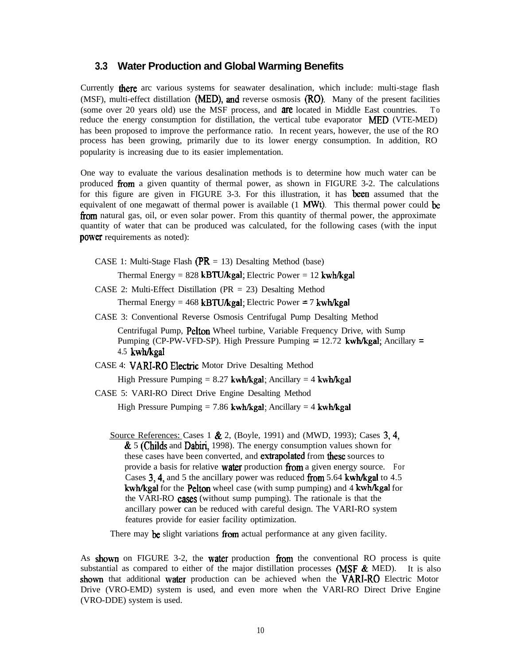#### **3.3 Water Production and Global Warming Benefits**

Currently there arc various systems for seawater desalination, which include: multi-stage flash (MSF), multi-effect distillation (MED), and reverse osmosis  $(RO)$ . Many of the present facilities (some over 20 years old) use the MSF process, and **are** located in Middle East countries. To reduce the energy consumption for distillation, the vertical tube evaporator **MED** (VTE-MED) has been proposed to improve the performance ratio. In recent years, however, the use of the RO process has been growing, primarily due to its lower energy consumption. In addition, RO popularity is increasing due to its easier implementation.

One way to evaluate the various desalination methods is to determine how much water can be produced from a given quantity of thermal power, as shown in FIGURE 3-2. The calculations for this figure are given in FIGURE 3-3. For this illustration, it has been assumed that the equivalent of one megawatt of thermal power is available  $(1 \text{ MWt})$ . This thermal power could be from natural gas, oil, or even solar power. From this quantity of thermal power, the approximate quantity of water that can be produced was calculated, for the following cases (with the input power requirements as noted):

CASE 1: Multi-Stage Flash ( $PR = 13$ ) Desalting Method (base)

Thermal Energy =  $828$  kBTU/kgal; Electric Power =  $12$  kwh/kgal

CASE 2: Multi-Effect Distillation (PR = 23) Desalting Method

Thermal Energy =  $468$  kBTU/kgal; Electric Power = 7 kwh/kgal

CASE 3: Conventional Reverse Osmosis Centrifugal Pump Desalting Method

Centrifugal Pump, **Pelton** Wheel turbine, Variable Frequency Drive, with Sump Pumping (CP-PW-VFD-SP). High Pressure Pumping  $= 12.72$  kwh/kgal; Ancillary  $=$ 4.5 kwh/kgal

CASE 4: VARI-RO Electric Motor Drive Desalting Method

High Pressure Pumping =  $8.27$  kwh/kgal; Ancillary =  $4$  kwh/kgal

CASE 5: VARI-RO Direct Drive Engine Desalting Method

High Pressure Pumping = 7.86 kwh/kgal; Ancillary = 4 kwh/kgal

Source References: Cases 1 & 2, (Boyle, 1991) and (MWD, 1993); Cases 3,4,  $\&$  5 (Childs and Dabiri, 1998). The energy consumption values shown for these cases have been converted, and **extrapolated** from these sources to provide a basis for relative **water** production from a given energy source. For Cases 3, 4, and 5 the ancillary power was reduced from 5.64 kwh/kgal to 4.5 kwh/kgal for the **Pelton** wheel case (with sump pumping) and 4 kwh/kgal for the VARI-RO cases (without sump pumping). The rationale is that the ancillary power can be reduced with careful design. The VARI-RO system features provide for easier facility optimization.

There may be slight variations from actual performance at any given facility.

As shown on FIGURE 3-2, the water production from the conventional RO process is quite substantial as compared to either of the major distillation processes (MSF  $\&$  MED). It is also shown that additional water production can be achieved when the VARI-RO Electric Motor Drive (VRO-EMD) system is used, and even more when the VARI-RO Direct Drive Engine (VRO-DDE) system is used.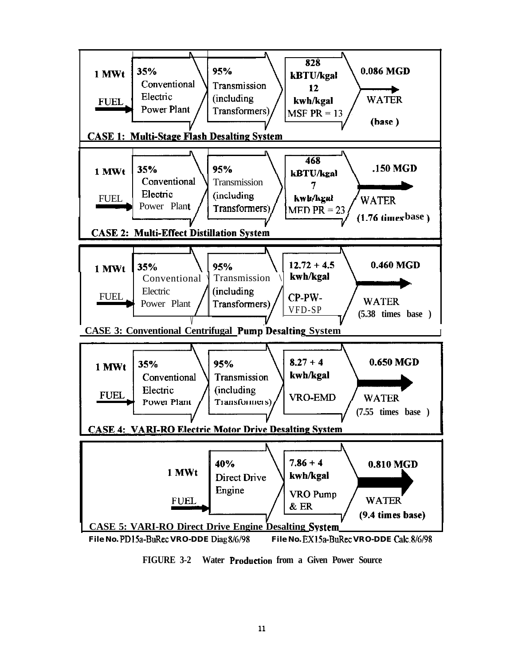

FIGURE 3-2 Water Production from a Given Power Source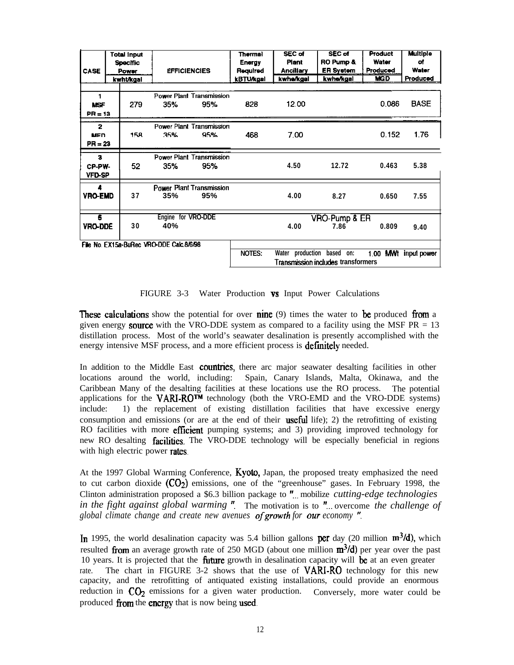| <b>CASE</b>                              |  | Total input<br>Specific<br>Power<br>kwht/kgal | <b>EFFICIENCIES</b>                    |                            | <b>Thermal</b><br><b>Energy</b><br>Regulred<br><b>kBTU/kgal</b> | <b>SEC of</b><br>Plant<br><b>Ancillary</b><br>kwhe/kgal | <b>SEC of</b><br>RO Pump &<br><b>ER System</b><br>kwhe/kgal | <b>Product</b><br>Water<br>Produced<br><b>MGD</b> | Multiple<br>of<br>Water<br>Produced |
|------------------------------------------|--|-----------------------------------------------|----------------------------------------|----------------------------|-----------------------------------------------------------------|---------------------------------------------------------|-------------------------------------------------------------|---------------------------------------------------|-------------------------------------|
| 1<br><b>NSF</b><br>$PR = 13$             |  | 279                                           | <b>Power Plant Transmission</b><br>35% | 95%                        | 828                                                             | 12.00                                                   |                                                             | 0.086                                             | <b>BASE</b>                         |
| $\mathbf{z}$<br><b>MFD</b><br>$PR = 23$  |  | 158                                           | Power Plant Transmission<br>35%        | 95%                        | 468                                                             | 7.00                                                    |                                                             | 0.152                                             | 1.76                                |
| 3<br>CP-PW-<br><b>VFD-SP</b>             |  | 52                                            | Power Plant Transmission<br>35%        | 95%                        |                                                                 | 4.50                                                    | 12.72                                                       | 0.463                                             | 5.38                                |
| 4<br><b>VRO-EMD</b>                      |  | 37                                            | <b>Power Plant Transmission</b><br>35% | 95%                        |                                                                 | 4.00                                                    | 8.27                                                        | 0.650                                             | 7.55                                |
| 5<br><b>VRO-DDE</b>                      |  | 30                                            | Engine for VRO-DDE<br>40%              |                            |                                                                 | 4.00                                                    | VRO-Pump & ER<br>7.86                                       | 0.809                                             | 9.40                                |
| File No. EX15a-BuRec VRO-DDE Calc.8/6/98 |  |                                               | <b>NOTES:</b>                          | Water production based on: | <b>Transmission includes transformers</b>                       |                                                         | 1.00 MWI input power                                        |                                                   |                                     |

FIGURE 3-3 Water Production **vs** Input Power Calculations

**These calculations** show the potential for over **nine** (9) times the water to **be** produced from a given energy **source** with the VRO-DDE system as compared to a facility using the MSF PR = 13 distillation process. Most of the world's seawater desalination is presently accomplished with the energy intensive MSF process, and a more efficient process is **definitely** needed.

In addition to the Middle East **countries**, there arc major seawater desalting facilities in other locations around the world, including: Spain, Canary Islands, Malta, Okinawa, and the Caribbean Many of the desalting facilities at these locations use the RO process. The potential applications for the VARI-ROTM technology (both the VRO-EMD and the VRO-DDE systems) include: 1) the replacement of existing distillation facilities that have excessive energy consumption and emissions (or are at the end of their **useful** life); 2) the retrofitting of existing RO facilities with more **efficient** pumping systems; and 3) providing improved technology for new RO desalting **facilities**. The VRO-DDE technology will be especially beneficial in regions with high electric power rates.

At the 1997 Global Warming Conference, Kyoto, Japan, the proposed treaty emphasized the need to cut carbon dioxide  $(CO<sub>2</sub>)$  emissions, one of the "greenhouse" gases. In February 1998, the Clinton administration proposed a \$6.3 billion package to "... mobilize *cutting-edge technologies in the fight against global warming* " The motivation is to "... overcome *the challenge of global climate change and create new avenues of growth for our economy ".* 

In 1995, the world desalination capacity was 5.4 billion gallons per day (20 million  $m^3/d$ ), which resulted from an average growth rate of 250 MGD (about one million  $\text{m}^3/\text{d}$ ) per year over the past 10 years. It is projected that the **future** growth in desalination capacity will be at an even greater rate. The chart in FIGURE 3-2 shows that the use of **VARI-RO** technology for this new capacity, and the retrofitting of antiquated existing installations, could provide an enormous reduction in  $CO<sub>2</sub>$  emissions for a given water production. Conversely, more water could be produced from the energy that is now being used.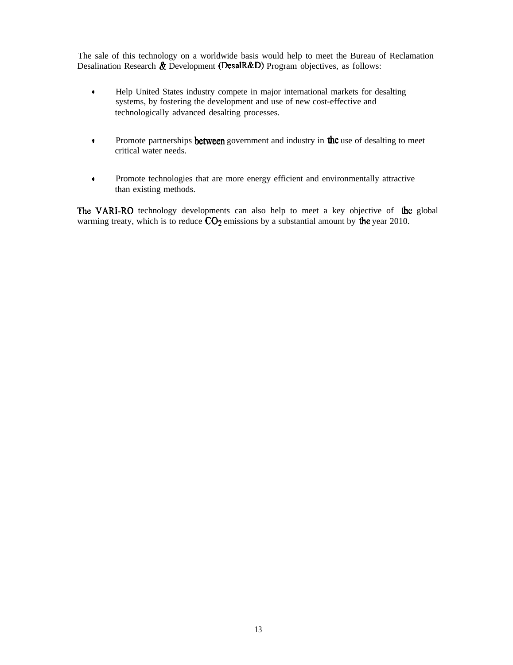The sale of this technology on a worldwide basis would help to meet the Bureau of Reclamation Desalination Research  $\&$  Development (DesalR $&$ D) Program objectives, as follows:

- . Help United States industry compete in major international markets for desalting systems, by fostering the development and use of new cost-effective and technologically advanced desalting processes.
- $\bullet$  Promote partnerships **between** government and industry in **the** use of desalting to meet critical water needs.
- . Promote technologies that are more energy efficient and environmentally attractive than existing methods.

The VARI-RO technology developments can also help to meet a key objective of the global warming treaty, which is to reduce  $CO<sub>2</sub>$  emissions by a substantial amount by the year 2010.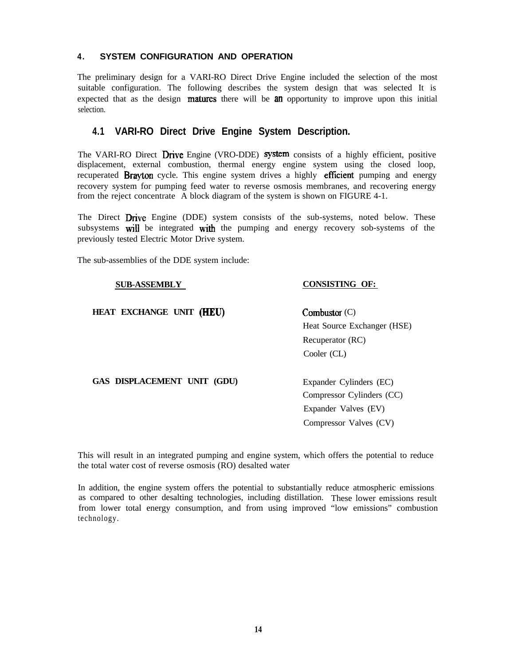#### **4. SYSTEM CONFIGURATION AND OPERATION**

The preliminary design for a VARI-RO Direct Drive Engine included the selection of the most suitable configuration. The following describes the system design that was selected It is expected that as the design **matures** there will be **an** opportunity to improve upon this initial selection.

### **4.1 VARI-RO Direct Drive Engine System Description.**

The VARI-RO Direct **Drive** Engine (VRO-DDE) **system** consists of a highly efficient, positive displacement, external combustion, thermal energy engine system using the closed loop, recuperated **Brayton** cycle. This engine system drives a highly **efficient** pumping and energy recovery system for pumping feed water to reverse osmosis membranes, and recovering energy from the reject concentrate A block diagram of the system is shown on FIGURE 4-1.

The Direct Drive Engine (DDE) system consists of the sub-systems, noted below. These subsystems will be integrated with the pumping and energy recovery sob-systems of the previously tested Electric Motor Drive system.

The sub-assemblies of the DDE system include:

#### **SUB-ASSEMBLY**

#### **HEAT EXCHANGE UNIT (HEU)**

### **CONSISTING OF:**

Combustor (C) Heat Source Exchanger (HSE) Recuperator (RC) Cooler (CL)

**GAS DISPLACEMENT UNIT (GDU)**

Expander Cylinders (EC) Compressor Cylinders (CC) Expander Valves (EV) Compressor Valves (CV)

This will result in an integrated pumping and engine system, which offers the potential to reduce the total water cost of reverse osmosis (RO) desalted water

In addition, the engine system offers the potential to substantially reduce atmospheric emissions as compared to other desalting technologies, including distillation. These lower emissions result from lower total energy consumption, and from using improved "low emissions" combustion technology.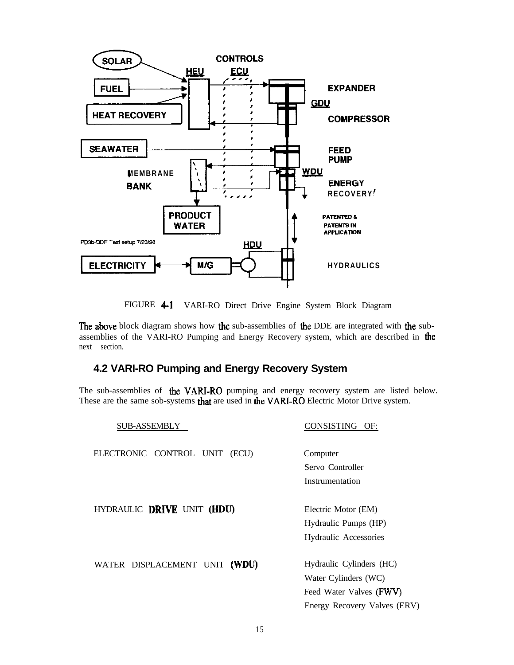

FIGURE 4-1 VARI-RO Direct Drive Engine System Block Diagram

The above block diagram shows how the sub-assemblies of the DDE are integrated with the subassemblies of the VARI-RO Pumping and Energy Recovery system, which are described in the next section.

## **4.2 VARI-RO Pumping and Energy Recovery System**

The sub-assemblies of the VARI-RO pumping and energy recovery system are listed below. These are the same sob-systems that are used in the VARI-RO Electric Motor Drive system.

| <b>SUB-ASSEMBLY</b>           | CONSISTING OF:               |  |  |
|-------------------------------|------------------------------|--|--|
| ELECTRONIC CONTROL UNIT (ECU) | Computer                     |  |  |
|                               | Servo Controller             |  |  |
|                               | Instrumentation              |  |  |
| HYDRAULIC DRIVE UNIT (HDU)    | Electric Motor (EM)          |  |  |
|                               | Hydraulic Pumps (HP)         |  |  |
|                               | Hydraulic Accessories        |  |  |
| WATER DISPLACEMENT UNIT (WDU) | Hydraulic Cylinders (HC)     |  |  |
|                               | Water Cylinders (WC)         |  |  |
|                               | Feed Water Valves (FWV)      |  |  |
|                               | Energy Recovery Valves (ERV) |  |  |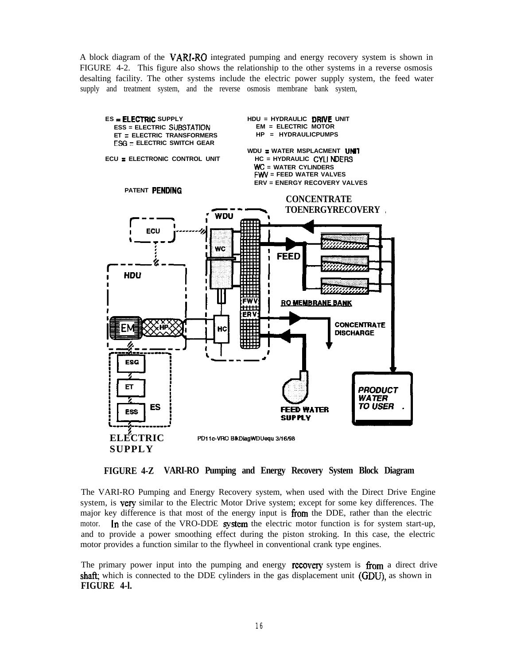A block diagram of the **VARI-RO** integrated pumping and energy recovery system is shown in FIGURE 4-2. This figure also shows the relationship to the other systems in a reverse osmosis desalting facility. The other systems include the electric power supply system, the feed water supply and treatment system, and the reverse osmosis membrane bank system,



**FIGURE 4-Z VARI-RO Pumping and Energy Recovery System Block Diagram**

The VARI-RO Pumping and Energy Recovery system, when used with the Direct Drive Engine system, is **very** similar to the Electric Motor Drive system; except for some key differences. The major key difference is that most of the energy input is  $\lim_{h \to 0}$  the DDE, rather than the electric motor. In the case of the VRO-DDE system the electric motor function is for system start-up, and to provide a power smoothing effect during the piston stroking. In this case, the electric motor provides a function similar to the flywheel in conventional crank type engines.

The primary power input into the pumping and energy **recovery** system is  $\mathbf{f}_{\text{COM}}$  a direct drive shaft; which is connected to the DDE cylinders in the gas displacement unit (GDU), as shown in **FIGURE 4-l.**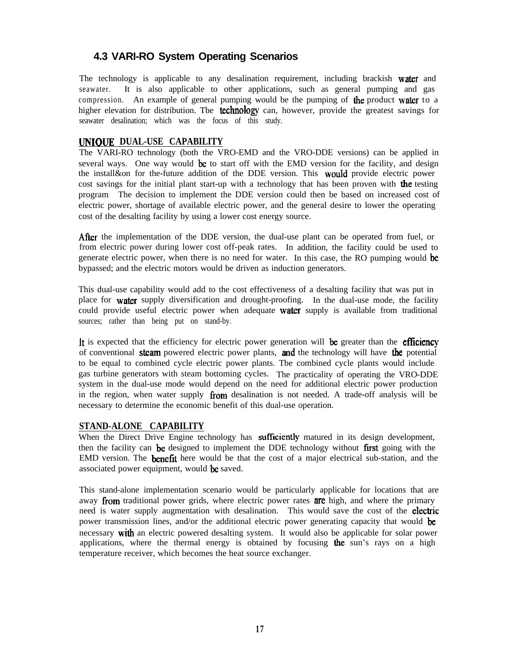## **4.3 VARI-RO System Operating Scenarios**

The technology is applicable to any desalination requirement, including brackish water and seawater. It is also applicable to other applications, such as general pumping and gas compression. An example of general pumping would be the pumping of the product water to a higher elevation for distribution. The **technology** can, however, provide the greatest savings for seawater desalination; which was the focus of this study.

### **UNIOUE DUAL-USE CAPABILITY**

The VARI-RO technology (both the VRO-EMD and the VRO-DDE versions) can be applied in several ways. One way would be to start off with the EMD version for the facility, and design the install&on for the-future addition of the DDE version. This would provide electric power cost savings for the initial plant start-up with a technology that has been proven with the testing program The decision to implement the DDE version could then be based on increased cost of electric power, shortage of available electric power, and the general desire to lower the operating cost of the desalting facility by using a lower cost energy source.

After the implementation of the DDE version, the dual-use plant can be operated from fuel, or from electric power during lower cost off-peak rates. In addition, the facility could be used to generate electric power, when there is no need for water. In this case, the RO pumping would be bypassed; and the electric motors would be driven as induction generators.

This dual-use capability would add to the cost effectiveness of a desalting facility that was put in place for water supply diversification and drought-proofing. In the dual-use mode, the facility could provide useful electric power when adequate **water** supply is available from traditional sources; rather than being put on stand-by.

It is expected that the efficiency for electric power generation will be greater than the efficiency of conventional **steam** powered electric power plants, **and** the technology will have **the** potential to be equal to combined cycle electric power plants. Tbe combined cycle plants would include gas turbine generators with steam bottoming cycles. The practicality of operating the VRO-DDE system in the dual-use mode would depend on the need for additional electric power production in the region, when water supply  $from$  desalination is not needed. A trade-off analysis will be necessary to determine the economic benefit of this dual-use operation.

#### **STAND-ALONE CAPABILITY**

When the Direct Drive Engine technology has sufficiently matured in its design development, then the facility can be designed to implement the DDE technology without **first** going with the EMD version. The benefit here would be that the cost of a major electrical sub-station, and the associated power equipment, would be saved.

This stand-alone implementation scenario would be particularly applicable for locations that are away from traditional power grids, where electric power rates  $\overline{a}$  region, and where the primary need is water supply augmentation with desalination. This would save the cost of the electric power transmission lines, and/or the additional electric power generating capacity that would be necessary with an electric powered desalting system. It would also be applicable for solar power applications, where the thermal energy is obtained by focusing the sun's rays on a high temperature receiver, which becomes the heat source exchanger.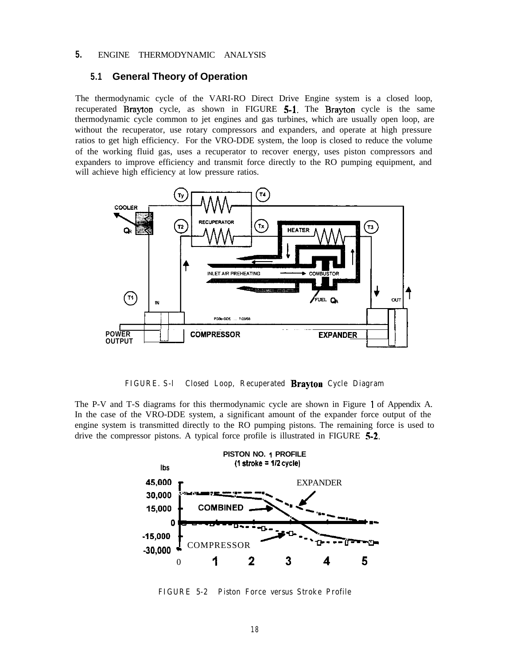### **5.** ENGINE THERMODYNAMIC ANALYSIS

#### **5.1 General Theory of Operation**

The thermodynamic cycle of the VARI-RO Direct Drive Engine system is a closed loop, recuperated Brayton cycle, as shown in FIGURE 5-l. The Brayton cycle is the same thermodynamic cycle common to jet engines and gas turbines, which are usually open loop, are without the recuperator, use rotary compressors and expanders, and operate at high pressure ratios to get high efficiency. For the VRO-DDE system, the loop is closed to reduce the volume of the working fluid gas, uses a recuperator to recover energy, uses piston compressors and expanders to improve efficiency and transmit force directly to the RO pumping equipment, and will achieve high efficiency at low pressure ratios.



#### **FIGURE. S-l Closed Loop, Recuperated Brayton Cycle Diagram**

The P-V and T-S diagrams for this thermodynamic cycle are shown in Figure I of Appendix A. In the case of the VRO-DDE system, a significant amount of the expander force output of the engine system is transmitted directly to the RO pumping pistons. The remaining force is used to drive the compressor pistons. A typical force profile is illustrated in FIGURE 5-2.



**FIGURE 5-2 Piston Force versus Stroke Profile**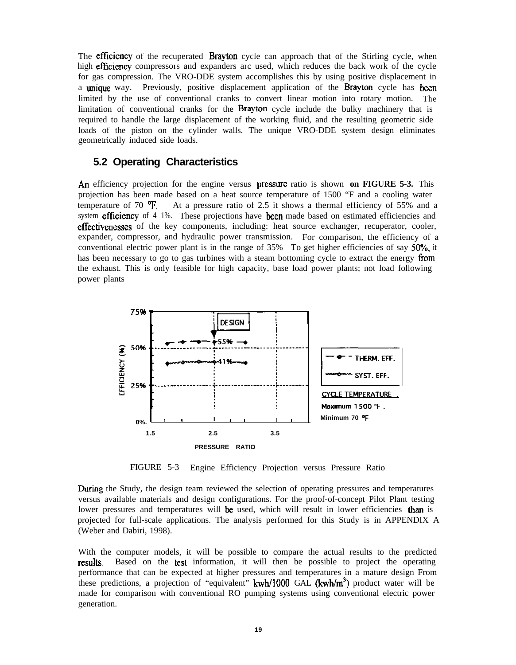The **efficiency** of the recuperated **Brayton** cycle can approach that of the Stirling cycle, when high efficiency compressors and expanders arc used, which reduces the back work of the cycle for gas compression. The VRO-DDE system accomplishes this by using positive displacement in a unique way. Previously, positive displacement application of the Brayton cycle has been limited by the use of conventional cranks to convert linear motion into rotary motion. The limitation of conventional cranks for the Brayton cycle include the bulky machinery that is required to handle the large displacement of the working fluid, and the resulting geometric side loads of the piston on the cylinder walls. The unique VRO-DDE system design eliminates geometrically induced side loads.

#### **5.2 Operating Characteristics**

An efficiency projection for the engine versus pressure ratio is shown **on FIGURE 5-3.** This projection has been made based on a heat source temperature of 1500 "F and a cooling water temperature of 70  $\text{P}_{\text{I}}$ . At a pressure ratio of 2.5 it shows a thermal efficiency of 55% and a system **efficiency** of 4 1%. These projections have **been** made based on estimated efficiencies and effectivenesses of the key components, including: heat source exchanger, recuperator, cooler, expander, compressor, and hydraulic power transmission. For comparison, the efficiency of a conventional electric power plant is in the range of  $35\%$  To get higher efficiencies of say  $50\%$ , it has been necessary to go to gas turbines with a steam bottoming cycle to extract the energy from the exhaust. This is only feasible for high capacity, base load power plants; not load following power plants



FIGURE 5-3 Engine Efficiency Projection versus Pressure Ratio

During the Study, the design team reviewed the selection of operating pressures and temperatures versus available materials and design configurations. For the proof-of-concept Pilot Plant testing lower pressures and temperatures will be used, which will result in lower efficiencies than is projected for full-scale applications. The analysis performed for this Study is in APPENDIX A (Weber and Dabiri, 1998).

With the computer models, it will be possible to compare the actual results to the predicted **FESULTS.** Based on the test information, it will then be possible to project the operating performance that can be expected at higher pressures and temperatures in a mature design From these predictions, a projection of "equivalent"  $kwh/1000$  GAL  $(kwh/m<sup>3</sup>)$  product water will be made for comparison with conventional RO pumping systems using conventional electric power generation.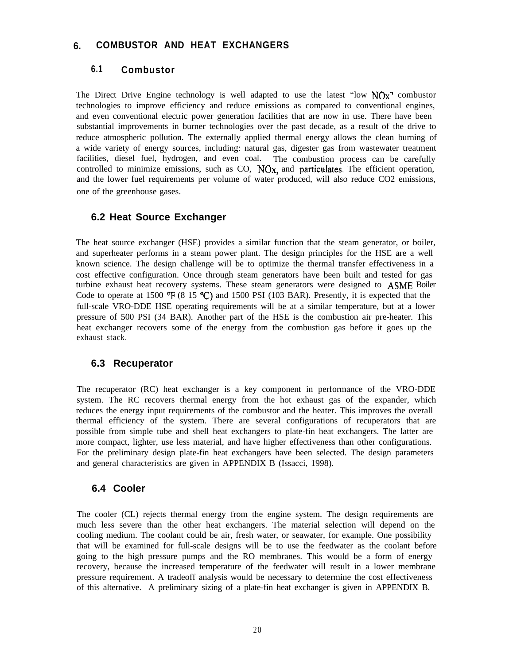### **6. COMBUSTOR AND HEAT EXCHANGERS**

### **6.1 Combustor**

The Direct Drive Engine technology is well adapted to use the latest "low  $NOx$ " combustor technologies to improve efficiency and reduce emissions as compared to conventional engines, and even conventional electric power generation facilities that are now in use. There have been substantial improvements in burner technologies over the past decade, as a result of the drive to reduce atmospheric pollution. The externally applied thermal energy allows the clean burning of a wide variety of energy sources, including: natural gas, digester gas from wastewater treatment facilities, diesel fuel, hydrogen, and even coal. The combustion process can be carefully controlled to minimize emissions, such as  $CO$ ,  $NOx$ , and **particulates**. The efficient operation, and the lower fuel requirements per volume of water produced, will also reduce CO2 emissions, one of the greenhouse gases.

#### **6.2 Heat Source Exchanger**

The heat source exchanger (HSE) provides a similar function that the steam generator, or boiler, and superheater performs in a steam power plant. The design principles for the HSE are a well known science. The design challenge will be to optimize the thermal transfer effectiveness in a cost effective configuration. Once through steam generators have been built and tested for gas turbine exhaust heat recovery systems. These steam generators were designed to ASME Boiler Code to operate at 1500  $\mathbb{F}(8\ 15\ \mathbb{C})$  and 1500 PSI (103 BAR). Presently, it is expected that the full-scale VRO-DDE HSE operating requirements will be at a similar temperature, but at a lower pressure of 500 PSI (34 BAR). Another part of the HSE is the combustion air pre-heater. This heat exchanger recovers some of the energy from the combustion gas before it goes up the exhaust stack.

#### **6.3 Recuperator**

The recuperator (RC) heat exchanger is a key component in performance of the VRO-DDE system. The RC recovers thermal energy from the hot exhaust gas of the expander, which reduces the energy input requirements of the combustor and the heater. This improves the overall thermal efficiency of the system. There are several configurations of recuperators that are possible from simple tube and shell heat exchangers to plate-fin heat exchangers. The latter are more compact, lighter, use less material, and have higher effectiveness than other configurations. For the preliminary design plate-fin heat exchangers have been selected. The design parameters and general characteristics are given in APPENDIX B (Issacci, 1998).

#### **6.4 Cooler**

The cooler (CL) rejects thermal energy from the engine system. The design requirements are much less severe than the other heat exchangers. The material selection will depend on the cooling medium. The coolant could be air, fresh water, or seawater, for example. One possibility that will be examined for full-scale designs will be to use the feedwater as the coolant before going to the high pressure pumps and the RO membranes. This would be a form of energy recovery, because the increased temperature of the feedwater will result in a lower membrane pressure requirement. A tradeoff analysis would be necessary to determine the cost effectiveness of this alternative. A preliminary sizing of a plate-fin heat exchanger is given in APPENDIX B.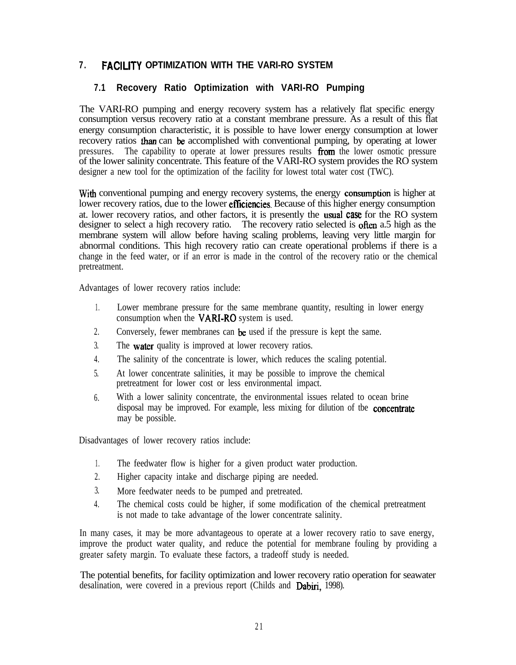## **7 . FACILITY OPTIMIZATION WITH THE VARI-RO SYSTEM**

### **7.1 Recovery Ratio Optimization with VARI-RO Pumping**

The VARI-RO pumping and energy recovery system has a relatively flat specific energy consumption versus recovery ratio at a constant membrane pressure. As a result of this flat energy consumption characteristic, it is possible to have lower energy consumption at lower recovery ratios than can be accomplished with conventional pumping, by operating at lower pressures. The capability to operate at lower pressures results from the lower osmotic pressure of the lower salinity concentrate. This feature of the VARI-RO system provides the RO system designer a new tool for the optimization of the facility for lowest total water cost (TWC).

With conventional pumping and energy recovery systems, the energy **consumption** is higher at lower recovery ratios, due to the lower **efficiencies**. Because of this higher energy consumption at. lower recovery ratios, and other factors, it is presently the usual case for the RO system designer to select a high recovery ratio. The recovery ratio selected is often a.5 high as the membrane system will allow before having scaling problems, leaving very little margin for abnormal conditions. This high recovery ratio can create operational problems if there is a change in the feed water, or if an error is made in the control of the recovery ratio or the chemical pretreatment.

Advantages of lower recovery ratios include:

- $1$ . Lower membrane pressure for the same membrane quantity, resulting in lower energy consumption when the VARI-RO system is used.
- 2. Conversely, fewer membranes can be used if the pressure is kept the same.
- 3. The **water** quality is improved at lower recovery ratios.
- 4. The salinity of the concentrate is lower, which reduces the scaling potential.
- 5. At lower concentrate salinities, it may be possible to improve the chemical pretreatment for lower cost or less environmental impact.
- 6. With a lower salinity concentrate, the environmental issues related to ocean brine disposal may be improved. For example, less mixing for dilution of tbe **concentrate** may be possible.

Disadvantages of lower recovery ratios include:

- $1$ . The feedwater flow is higher for a given product water production.
- 2. Higher capacity intake and discharge piping are needed.
- 3. More feedwater needs to be pumped and pretreated.
- 4. The chemical costs could be higher, if some modification of the chemical pretreatment is not made to take advantage of the lower concentrate salinity.

In many cases, it may be more advantageous to operate at a lower recovery ratio to save energy, improve the product water quality, and reduce the potential for membrane fouling by providing a greater safety margin. To evaluate these factors, a tradeoff study is needed.

The potential benefits, for facility optimization and lower recovery ratio operation for seawater desalination, were covered in a previous report (Childs and Dabiri, 1998).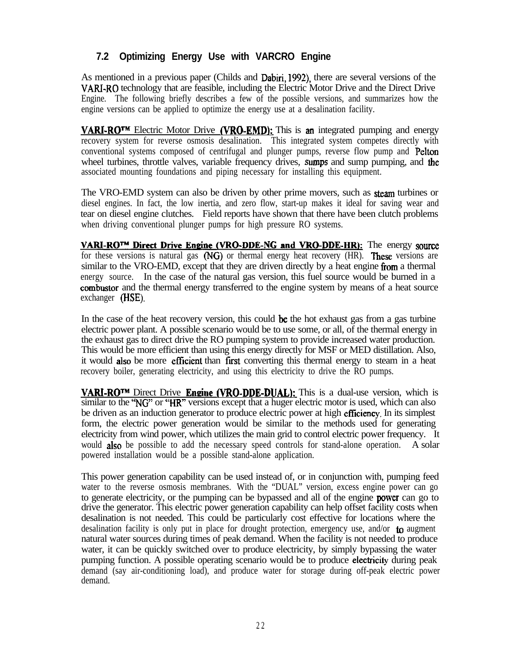## **7.2 Optimizing Energy Use with VARCRO Engine**

As mentioned in a previous paper (Childs and Dabiri, 1992), there are several versions of the VARI-RO technology that are feasible, including the Electric Motor Drive and the Direct Drive Engine. The following briefly describes a few of the possible versions, and summarizes how the engine versions can be applied to optimize the energy use at a desalination facility.

**VARI-RO<sup>TM</sup>** Electric Motor Drive (VRO-EMD): This is an integrated pumping and energy recovery system for reverse osmosis desalination. This integrated system competes directly with conventional systems composed of centrifugal and plunger pumps, reverse flow pump and Pelton wheel turbines, throttle valves, variable frequency drives, sumps and sump pumping, and the associated mounting foundations and piping necessary for installing this equipment.

The VRO-EMD system can also be driven by other prime movers, such as **steam** turbines or diesel engines. In fact, the low inertia, and zero flow, start-up makes it ideal for saving wear and tear on diesel engine clutches. Field reports have shown that there have been clutch problems when driving conventional plunger pumps for high pressure RO systems.

 $VARI-RO<sup>TM</sup>$  Direct Drive Engine (VRO-DDE-NG and VRO-DDE-HR): The energy source for these versions is natural gas (NG) or thermal energy heat recovery (HR). These versions are similar to the VRO-EMD, except that they are driven directly by a heat engine from a thermal energy source. In the case of the natural gas version, this fuel source would be burned in a combustor and the thermal energy transferred to the engine system by means of a heat source exchanger (HSE).

7.2 **Optimizing Energy Use with VARCRO Engine**<br>As mentioned in a previous paper (Childs and Dabiri, 1992), there are sevently ARI-RO technology that are feasible, including the Electric Motor Dive and Engine existion. Thi In the case of the heat recovery version, this could be the hot exhaust gas from a gas turbine electric power plant. A possible scenario would be to use some, or all, of the thermal energy in the exhaust gas to direct drive the RO pumping system to provide increased water production. This would be more efficient than using this energy directly for MSF or MED distillation. Also, it would also be more efficient than first converting this thermal energy to steam in a heat recovery boiler, generating electricity, and using this electricity to drive the RO pumps.

**VARI-RO<sup>TM</sup>** Direct Drive **Engine (VRO-DDE-DUAL)**: This is a dual-use version, which is similar to the "NG" or "HR" versions except that a huger electric motor is used, which can also be driven as an induction generator to produce electric power at high **efficiency**. In its simplest form, the electric power generation would be similar to the methods used for generating electricity from wind power, which utilizes the main grid to control electric power frequency. It would **also** be possible to add the necessary speed controls for stand-alone operation. A solar powered installation would be a possible stand-alone application.

This power generation capability can be used instead of, or in conjunction with, pumping feed water to the reverse osmosis membranes. With the "DUAL" version, excess engine power can go to generate electricity, or the pumping can be bypassed and all of the engine power can go to drive the generator. This electric power generation capability can help offset facility costs when desalination is not needed. This could be particularly cost effective for locations where the desalination facility is only put in place for drought protection, emergency use, and/or to augment natural water sources during times of peak demand. When the facility is not needed to produce water, it can be quickly switched over to produce electricity, by simply bypassing the water pumping function. A possible operating scenario would be to produce electricity during peak demand (say air-conditioning load), and produce water for storage during off-peak electric power demand.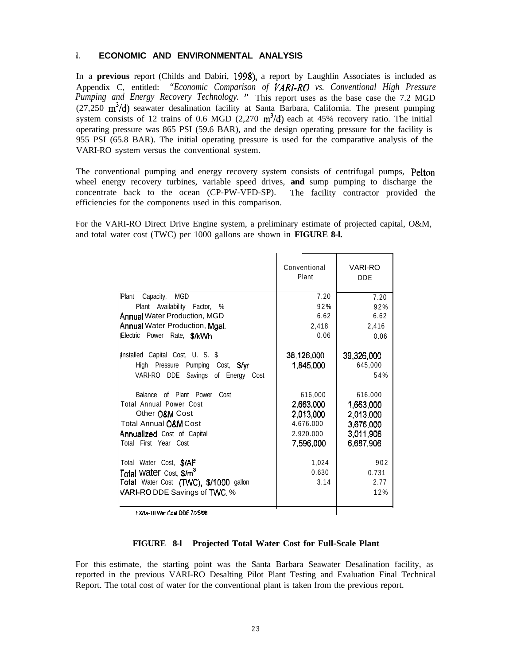#### a. **ECONOMIC AND ENVIRONMENTAL ANALYSIS**

In a **previous** report (Childs and Dabiri, 1998), a report by Laughlin Associates is included as Appendix C, entitled: *"Economic Comparison of VARY-RO vs. Conventional High Pressure Pumping and Energy Recovery Technology. "* This report uses as the base case the 7.2 MGD  $(27,250 \text{ m}^3/\text{d})$  seawater desalination facility at Santa Barbara, California. The present pumping system consists of 12 trains of 0.6 MGD (2,270  $m<sup>3</sup>/d$ ) each at 45% recovery ratio. The initial operating pressure was 865 PSI (59.6 BAR), and the design operating pressure for the facility is 955 PSI (65.8 BAR). The initial operating pressure is used for the comparative analysis of the VARI-RO system versus the conventional system.

The conventional pumping and energy recovery system consists of centrifugal pumps, Pelton wheel energy recovery turbines, variable speed drives, **and** sump pumping to discharge the concentrate back to the ocean (CP-PW-VFD-SP). The facility contractor provided the efficiencies for the components used in this comparison.

For the VARI-RO Direct Drive Engine system, a preliminary estimate of projected capital, O&M, and total water cost (TWC) per 1000 gallons are shown in **FIGURE 8-l.**

|                                                                                                                                                                           | Conventional<br>Plant                                                    | <b>VARI-RO</b><br><b>DDE</b>                                             |
|---------------------------------------------------------------------------------------------------------------------------------------------------------------------------|--------------------------------------------------------------------------|--------------------------------------------------------------------------|
| Plant<br><b>MGD</b><br>Capacity,                                                                                                                                          | 7.20                                                                     | 7.20                                                                     |
| Plant Availability Factor, %                                                                                                                                              | 92%                                                                      | 92%                                                                      |
| <b>Annual Water Production, MGD</b>                                                                                                                                       | 6.62                                                                     | 6.62                                                                     |
| Annual Water Production, Mgal.                                                                                                                                            | 2,418                                                                    | 2,416                                                                    |
| Electric Power Rate, S/kWh                                                                                                                                                | 0.06                                                                     | 0.06                                                                     |
| Installed Capital Cost, U. S. \$                                                                                                                                          | 38,126,000                                                               | 39,326,000                                                               |
| High Pressure Pumping Cost, \$/yr                                                                                                                                         | 1,845,000                                                                | 645,000                                                                  |
| VARI-RO DDE Savings of Energy<br>Cost                                                                                                                                     |                                                                          | 54%                                                                      |
| of Plant Power<br>Cost<br>Balance<br>Total Annual Power Cost<br>Other O&M Cost<br><b>Total Annual O&amp;M Cost</b><br>Annualized Cost of Capital<br>Total First Year Cost | 616,000<br>2,663,000<br>2,013,000<br>4.676.000<br>2.920.000<br>7,596,000 | 616.000<br>1,663,000<br>2,013,000<br>3,676,000<br>3,011,906<br>6,687,906 |
| Total Water Cost, \$/AF                                                                                                                                                   | 1,024                                                                    | 902                                                                      |
| Total water Cost, \$/m <sup>3</sup>                                                                                                                                       | 0.630                                                                    | 0.731                                                                    |
| Total Water Cost (TWC), \$/1000 gallon                                                                                                                                    | 3.14                                                                     | 2.77                                                                     |
| VARI-RO DDE Savings of TWC, %                                                                                                                                             |                                                                          | 12%                                                                      |
| EXBa-TII Wat Cost DDE 7/25/98                                                                                                                                             |                                                                          |                                                                          |

EXBa-Ttl.Wat.Cost DDE 7/25/98

#### **FIGURE 8-l Projected Total Water Cost for Full-Scale Plant**

For this estimate, the starting point was the Santa Barbara Seawater Desalination facility, as reported in the previous VARI-RO Desalting Pilot Plant Testing and Evaluation Final Technical Report. The total cost of water for the conventional plant is taken from the previous report.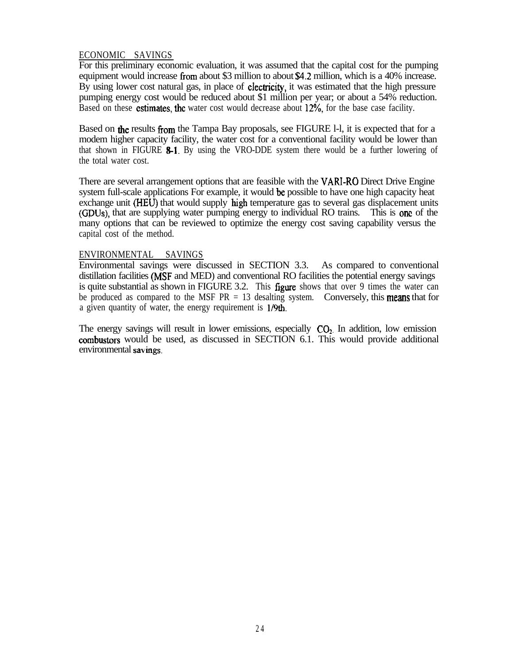### ECONOMIC SAVINGS

For this preliminary economic evaluation, it was assumed that the capital cost for the pumping equipment would increase from about \$3 million to about \$4.2 million, which is a 40% increase. By using lower cost natural gas, in place of electricity, it was estimated that the high pressure pumping energy cost would be reduced about \$1 million per year; or about a 54% reduction. Based on these estimates, the water cost would decrease about 12%, for the base case facility.

Based on the results from the Tampa Bay proposals, see FIGURE 1-1, it is expected that for a modem higher capacity facility, the water cost for a conventional facility would be lower than that shown in FIGURE  $8-1$ . By using the VRO-DDE system there would be a further lowering of the total water cost.

There are several arrangement options that are feasible with the VARl-RO Direct Drive Engine system full-scale applications For example, it would be possible to have one high capacity heat exchange unit (HEU) that would supply high temperature gas to several gas displacement units (GDUs), that are supplying water pumping energy to individual RO trains. This is one of the many options that can be reviewed to optimize the energy cost saving capability versus the capital cost of the method.

#### ENVIRONMENTAL SAVINGS

Environmental savings were discussed in SECTION 3.3. As compared to conventional distillation facilities (MSF and MED) and conventional RO facilities the potential energy savings is quite substantial as shown in FIGURE 3.2. This **figure** shows that over 9 times the water can be produced as compared to the MSF  $PR = 13$  desalting system. Conversely, this **means** that for a given quantity of water, the energy requirement is 1/9th.

The energy savings will result in lower emissions, especially  $CO<sub>2</sub>$ . In addition, low emission combustors would be used, as discussed in SECTION 6.1. This would provide additional environmental savings.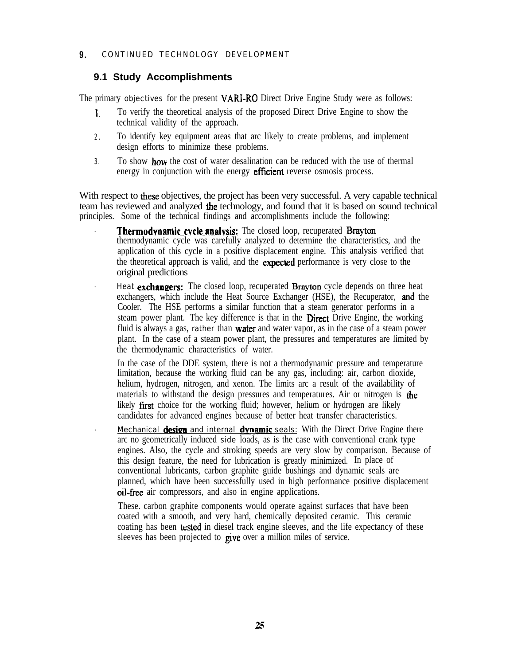#### **9.** CONTINUED TECHNOLOGY DEVELOPMENT

### **9.1 Study Accomplishments**

The primary objectives for the present VARI-RO Direct Drive Engine Study were as follows:

- 1. To verify the theoretical analysis of the proposed Direct Drive Engine to show the technical validity of the approach.
- 2 . To identify key equipment areas that arc likely to create problems, and implement design efforts to minimize these problems.
- 3. To show **how** the cost of water desalination can be reduced with the use of thermal energy in conjunction with the energy **efficient** reverse osmosis process.

With respect to these objectives, the project has been very successful. A very capable technical team has reviewed and analyzed the technology, and found that it is based on sound technical principles. Some of the technical findings and accomplishments include the following:

- Thermodynamic cycle analysis: The closed loop, recuperated Brayton thermodynamic cycle was carefully analyzed to determine the characteristics, and the application of this cycle in a positive displacement engine. This analysis verified that the theoretical approach is valid, and the **expected** performance is very close to the original predictions
- Heat **exchangers:** The closed loop, recuperated **Brayton** cycle depends on three heat exchangers, which include the Heat Source Exchanger (HSE), the Recuperator, and the Cooler. The HSE performs a similar function that a steam generator performs in a steam power plant. The key difference is that in the **Direct** Drive Engine, the working fluid is always a gas, rather than **water** and water vapor, as in the case of a steam power plant. In the case of a steam power plant, the pressures and temperatures are limited by the thermodynamic characteristics of water.

In the case of the DDE system, there is not a thermodynamic pressure and temperature limitation, because the working fluid can be any gas, including: air, carbon dioxide, helium, hydrogen, nitrogen, and xenon. The limits arc a result of the availability of materials to withstand the design pressures and temperatures. Air or nitrogen is the likely first choice for the working fluid; however, helium or hydrogen are likely candidates for advanced engines because of better heat transfer characteristics.

Mechanical **design** and internal **dynamic** seals: With the Direct Drive Engine there arc no geometrically induced side loads, as is the case with conventional crank type engines. Also, the cycle and stroking speeds are very slow by comparison. Because of this design feature, the need for lubrication is greatly minimized. In place of conventional lubricants, carbon graphite guide bushings and dynamic seals are planned, which have been successfully used in high performance positive displacement oil-free air compressors, and also in engine applications.

These. carbon graphite components would operate against surfaces that have been coated with a smooth, and very hard, chemically deposited ceramic. This ceramic coating has been tested in diesel track engine sleeves, and the life expectancy of these sleeves has been projected to give over a million miles of service.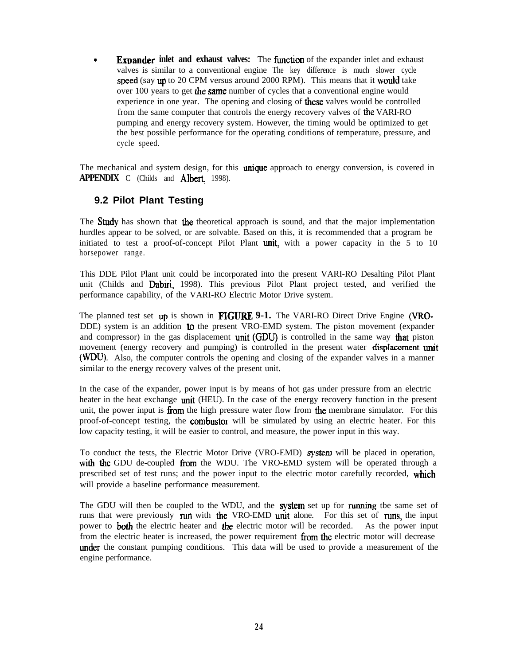**Expander inlet and exhaust valves:** The function of the expander inlet and exhaust valves is similar to a conventional engine The key difference is much slower cycle speed (say up to 20 CPM versus around 2000 RPM). This means that it would take over 100 years to get the same number of cycles that a conventional engine would experience in one year. The opening and closing of **these** valves would be controlled from the same computer that controls the energy recovery valves of the VARI-RO pumping and energy recovery system. However, the timing would be optimized to get the best possible performance for the operating conditions of temperature, pressure, and cycle speed.

The mechanical and system design, for this **unique** approach to energy conversion, is covered in **APPENDIX** C (Childs and **Albert**, 1998).

### **9.2 Pilot Plant Testing**

The **Study** has shown that the theoretical approach is sound, and that the major implementation hurdles appear to be solved, or are solvable. Based on this, it is recommended that a program be initiated to test a proof-of-concept Pilot Plant unit, with a power capacity in the 5 to 10 horsepower range.

This DDE Pilot Plant unit could be incorporated into the present VARI-RO Desalting Pilot Plant unit (Childs and Dabiri, 1998). This previous Pilot Plant project tested, and verified the performance capability, of the VARI-RO Electric Motor Drive system.

The planned test set up is shown in **FIGURF. 9-1.** The VARI-RO Direct Drive Engine (VRO-DDE) system is an addition **to** the present VRO-EMD system. The piston movement (expander and compressor) in the gas displacement **unit** (GDU) is controlled in the same way **that** piston movement (energy recovery and pumping) is controlled in the present water displacement unit (WDU). Also, the computer controls the opening and closing of the expander valves in a manner similar to the energy recovery valves of the present unit.

In the case of the expander, power input is by means of hot gas under pressure from an electric heater in the heat exchange unit (HEU). In the case of the energy recovery function in the present unit, the power input is **from** the high pressure water flow from **the** membrane simulator. For this proof-of-concept testing, the **combustor** will be simulated by using an electric heater. For this low capacity testing, it will be easier to control, and measure, the power input in this way.

To conduct the tests, the Electric Motor Drive (VRO-EMD) system will be placed in operation, with the GDU de-coupled from the WDU. The VRO-EMD system will be operated through a prescribed set of test runs; and the power input to the electric motor carefully recorded, which will provide a baseline performance measurement.

The GDU will then be coupled to the WDU, and the **system** set up for running tbe same set of runs that were previously run with the VRO-EMD unit alone. For this set of runs, the input power to **both** the electric heater and **the** electric motor will be recorded. As the power input from the electric heater is increased, the power requirement from the electric motor will decrease under the constant pumping conditions. This data will be used to provide a measurement of the engine performance.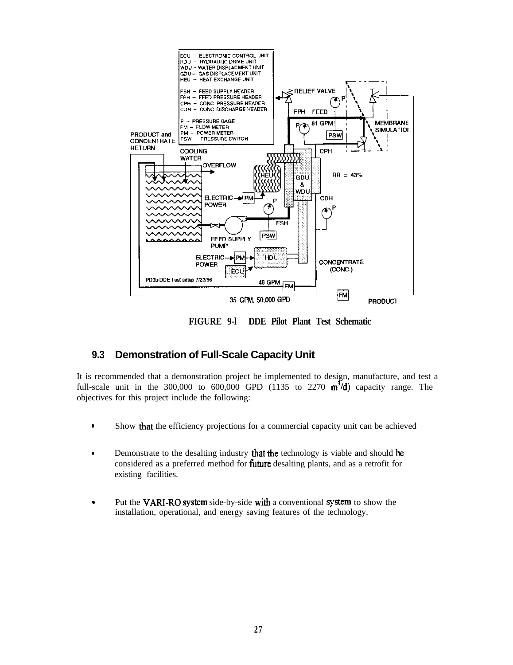

**FIGURE 9-l DDE Pilot Plant Test Schematic**

## **9.3 Demonstration of Full-Scale Capacity Unit**

It is recommended that a demonstration project be implemented to design, manufacture, and test a full-scale unit in the 300,000 to 600,000 GPD (1135 to 2270  $m^3/d$ ) capacity range. The objectives for this project include the following:

- . Show that the efficiency projections for a commercial capacity unit can be achieved
- Demonstrate to the desalting industry that the technology is viable and should be considered as a preferred method for future desalting plants, and as a retrofit for existing facilities.
- Put the VARI-RO system side-by-side with a conventional system to show the installation, operational, and energy saving features of the technology.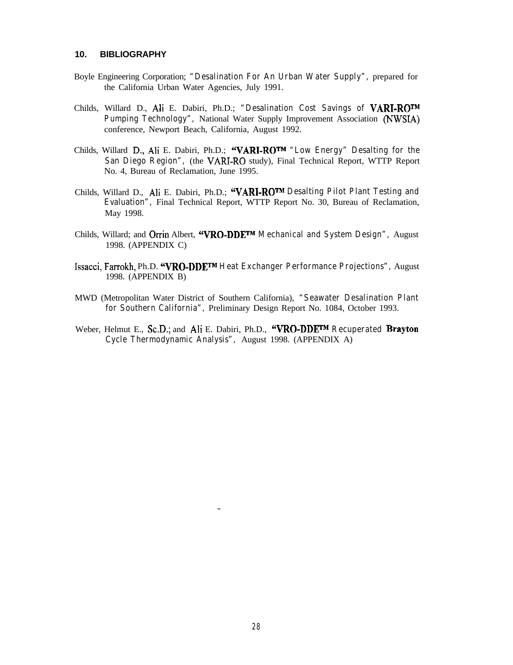#### **10. BIBLIOGRAPHY**

- Boyle Engineering Corporation; **"Desalination For An Urban Water Supply",** prepared for the California Urban Water Agencies, July 1991.
- Childs, Willard D., Ali E. Dabiri, Ph.D.; **"Desalination Cost Savings of VARI-ROTM Pumping Technology",** National Water Supply Improvement Association (NWSIA) conference, Newport Beach, California, August 1992.
- Childs, Willard I)., Ali E. Dabiri, Ph.D.; **"VARI-RO TM "Low Energy" Desalting for the** San Diego Region", (the VARI-RO study), Final Technical Report, WTTP Report No. 4, Bureau of Reclamation, June 1995.
- Childs, Willard D., Ali E. Dabiri, Ph.D.; **"VARI-RO TM Desalting Pilot Plant Testing and Evaluation",** Final Technical Report, WTTP Report No. 30, Bureau of Reclamation, May 1998.
- Childs, Willard; and Orrin Albert, **"VRO-DDETM Mechanical and System Design",** August 1998. (APPENDIX C)
- Issacci, Farrokh, Ph.D. **"VRO-DDETM Heat Exchanger Performance Projections",** August 1998. (APPENDIX B)
- MWD (Metropolitan Water District of Southern California), **"Seawater Desalination Plant for Southern California",** Preliminary Design Report No. 1084, October 1993.
- Weber, Helmut E., Sc.D.; and Ali E. Dabiri, Ph.D., **"VRO-DDETM Recuperated Brayton Cycle Thermodynamic Analysis",** August 1998. (APPENDIX A)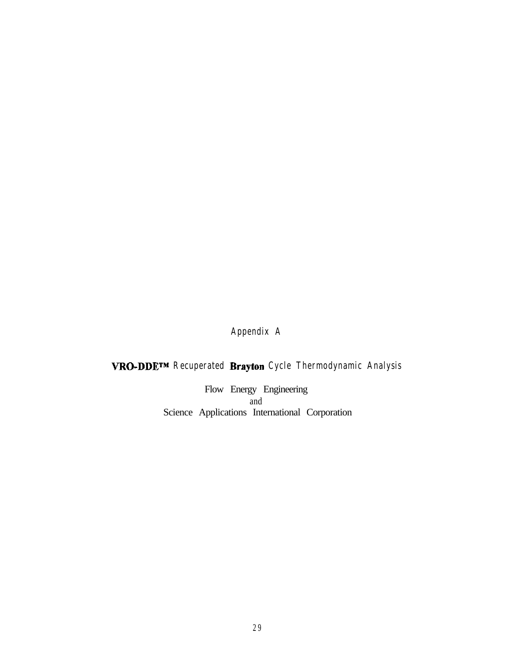## **Appendix A**

## **VRO-DDETM Recuperated Brayton Cycle Thermodynamic Analysis**

Flow Energy Engineering and Science Applications International Corporation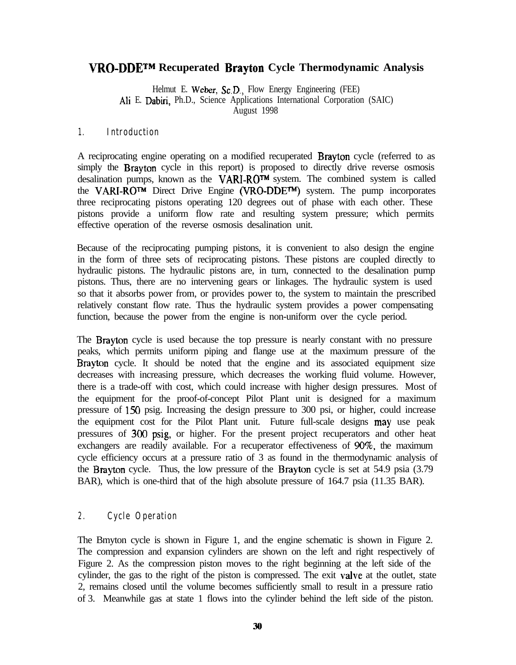## **VRO-DDETM Recuperated Brayton Cycle Thermodynamic Analysis**

Helmut E. Weber, Sc.D., Flow Energy Engineering (FEE) Ali E. Dabiri, Ph.D., Science Applications International Corporation (SAIC) August 1998

### **1. Introduction**

A reciprocating engine operating on a modified recuperated Brayton cycle (referred to as simply the **Brayton** cycle in this report) is proposed to directly drive reverse osmosis desalination pumps, known as the VARI-ROTM system. The combined system is called the VARI-RO<sup>TM</sup> Direct Drive Engine (VRO-DDE<sup>TM</sup>) system. The pump incorporates three reciprocating pistons operating 120 degrees out of phase with each other. These pistons provide a uniform flow rate and resulting system pressure; which permits effective operation of the reverse osmosis desalination unit.

Because of the reciprocating pumping pistons, it is convenient to also design the engine in the form of three sets of reciprocating pistons. These pistons are coupled directly to hydraulic pistons. The hydraulic pistons are, in turn, connected to the desalination pump pistons. Thus, there are no intervening gears or linkages. The hydraulic system is used so that it absorbs power from, or provides power to, the system to maintain the prescribed relatively constant flow rate. Thus the hydraulic system provides a power compensating function, because the power from the engine is non-uniform over the cycle period.

The Brayton cycle is used because the top pressure is nearly constant with no pressure peaks, which permits uniform piping and flange use at the maximum pressure of the Brayton cycle. It should be noted that the engine and its associated equipment size decreases with increasing pressure, which decreases the working fluid volume. However, there is a trade-off with cost, which could increase with higher design pressures. Most of the equipment for the proof-of-concept Pilot Plant unit is designed for a maximum pressure of 150 psig. Increasing the design pressure to 300 psi, or higher, could increase the equipment cost for the Pilot Plant unit. Future full-scale designs **may** use peak pressures of 300 psig, or higher. For the present project recuperators and other heat exchangers are readily available. For a recuperator effectiveness of  $90\%$ , the maximum cycle efficiency occurs at a pressure ratio of 3 as found in the thermodynamic analysis of the Brayton cycle. Thus, the low pressure of the Brayton cycle is set at 54.9 psia (3.79 BAR), which is one-third that of the high absolute pressure of 164.7 psia (11.35 BAR).

### **2 . Cycle Operation**

The Bmyton cycle is shown in Figure 1, and the engine schematic is shown in Figure 2. The compression and expansion cylinders are shown on the left and right respectively of Figure 2. As the compression piston moves to the right beginning at the left side of the cylinder, the gas to the right of the piston is compressed. The exit valve at the outlet, state 2, remains closed until the volume becomes sufficiently small to result in a pressure ratio of 3. Meanwhile gas at state 1 flows into the cylinder behind the left side of the piston.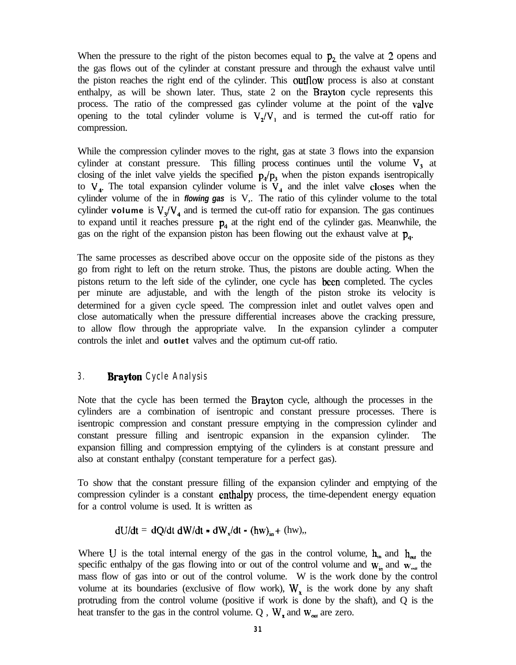When the pressure to the right of the piston becomes equal to  $p_2$  the valve at 2 opens and the gas flows out of the cylinder at constant pressure and through the exhaust valve until the piston reaches the right end of the cylinder. This outflow process is also at constant enthalpy, as will be shown later. Thus, state 2 on the Brayton cycle represents this process. The ratio of the compressed gas cylinder volume at the point of the valve opening to the total cylinder volume is  $V_2/V_1$  and is termed the cut-off ratio for compression.

While the compression cylinder moves to the right, gas at state 3 flows into the expansion cylinder at constant pressure. This filling process continues until the volume  $V<sub>3</sub>$  at closing of the inlet valve yields the specified  $p_4/p_3$  when the piston expands isentropically to  $V_4$ . The total expansion cylinder volume is  $V_4$  and the inlet valve closes when the cylinder volume of the in *flowing gas* is V,. The ratio of this cylinder volume to the total cylinder **volume** is  $V_a/V_a$  and is termed the cut-off ratio for expansion. The gas continues to expand until it reaches pressure  $p_4$  at the right end of the cylinder gas. Meanwhile, the gas on the right of the expansion piston has been flowing out the exhaust valve at  $p_{4}$ .

The same processes as described above occur on the opposite side of the pistons as they go from right to left on the return stroke. Thus, the pistons are double acting. When the pistons return to the left side of the cylinder, one cycle has been completed. The cycles per minute are adjustable, and with the length of the piston stroke its velocity is determined for a given cycle speed. The compression inlet and outlet valves open and close automatically when the pressure differential increases above the cracking pressure, to allow flow through the appropriate valve. In the expansion cylinder a computer controls the inlet and **outlet** valves and the optimum cut-off ratio.

#### **3 . Brayton Cycle Analysis**

Note that the cycle has been termed the Brayton cycle, although the processes in the cylinders are a combination of isentropic and constant pressure processes. There is isentropic compression and constant pressure emptying in the compression cylinder and constant pressure filling and isentropic expansion in the expansion cylinder. The expansion filling and compression emptying of the cylinders is at constant pressure and also at constant enthalpy (constant temperature for a perfect gas).

To show that the constant pressure filling of the expansion cylinder and emptying of the compression cylinder is a constant enthalpy process, the time-dependent energy equation for a control volume is used. It is written as

$$
dU/dt = dQ/dt \ dW/dt - dW_x/dt - (hw)_{in} + (hw),
$$

Where U is the total internal energy of the gas in the control volume,  $h_{in}$  and  $h_{out}$  the specific enthalpy of the gas flowing into or out of the control volume and  $w_{in}$  and  $w_{out}$  the mass flow of gas into or out of the control volume. W is the work done by the control volume at its boundaries (exclusive of flow work),  $W_x$  is the work done by any shaft protruding from the control volume (positive if work is done by the shaft), and Q is the heat transfer to the gas in the control volume. Q,  $W_x$  and  $W_{out}$  are zero.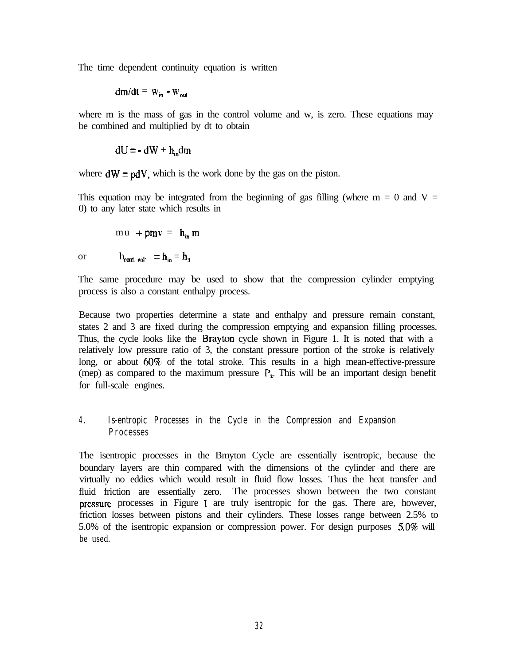The time dependent continuity equation is written

$$
dm/dt = w_{in} - w_{out}
$$

where m is the mass of gas in the control volume and w, is zero. These equations may be combined and multiplied by dt to obtain

$$
dU = -dW + h_{in}dm
$$

where  $dW = pdV$ , which is the work done by the gas on the piston.

This equation may be integrated from the beginning of gas filling (where  $m = 0$  and  $V =$ 0) to any later state which results in

$$
mu + pmv = h_{in} \, m
$$

or  $h_{\text{cont. vol}} = h_{\text{in}} = h_{\text{3}}$ 

The same procedure may be used to show that the compression cylinder emptying process is also a constant enthalpy process.

Because two properties determine a state and enthalpy and pressure remain constant, states 2 and 3 are fixed during the compression emptying and expansion filling processes. Thus, the cycle looks like the Brayton cycle shown in Figure 1. It is noted that with a relatively low pressure ratio of 3, the constant pressure portion of the stroke is relatively long, or about  $60\%$  of the total stroke. This results in a high mean-effective-pressure (mep) as compared to the maximum pressure  $P_2$ . This will be an important design benefit for full-scale engines.

### **4 . Is-entropic Processes in the Cycle in the Compression and Expansion Processes**

The isentropic processes in the Bmyton Cycle are essentially isentropic, because the boundary layers are thin compared with the dimensions of the cylinder and there are virtually no eddies which would result in fluid flow losses. Thus the heat transfer and fluid friction are essentially zero. The processes shown between the two constant pressure processes in Figure 1 are truly isentropic for the gas. There are, however, friction losses between pistons and their cylinders. These losses range between 2.5% to 5.0% of the isentropic expansion or compression power. For design purposes  $5.0\%$  will be used.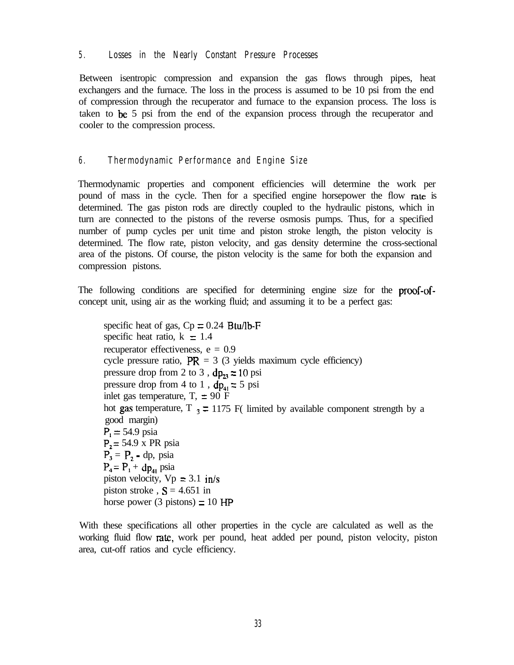### **5 . Losses in the Nearly Constant Pressure Processes**

Between isentropic compression and expansion the gas flows through pipes, heat exchangers and the furnace. The loss in the process is assumed to be 10 psi from the end of compression through the recuperator and furnace to the expansion process. The loss is taken to be 5 psi from the end of the expansion process through the recuperator and cooler to the compression process.

### **6 . Thermodynamic Performance and Engine Size**

Thermodynamic properties and component efficiencies will determine the work per pound of mass in the cycle. Then for a specified engine horsepower the flow rate is determined. The gas piston rods are directly coupled to the hydraulic pistons, which in turn are connected to the pistons of the reverse osmosis pumps. Thus, for a specified number of pump cycles per unit time and piston stroke length, the piston velocity is determined. The flow rate, piston velocity, and gas density determine the cross-sectional area of the pistons. Of course, the piston velocity is the same for both the expansion and compression pistons.

The following conditions are specified for determining engine size for the proof-ofconcept unit, using air as the working fluid; and assuming it to be a perfect gas:

specific heat of gas,  $Cp = 0.24$  Btu/lb-F specific heat ratio,  $k = 1.4$ recuperator effectiveness,  $e = 0.9$ cycle pressure ratio,  $PR = 3$  (3 yields maximum cycle efficiency) pressure drop from 2 to 3,  $dp_{23} = 10$  psi pressure drop from 4 to 1,  $dp_{41} = 5$  psi inlet gas temperature,  $T<sub>1</sub> = 90$  F hot gas temperature, T  $_3 = 1175$  F( limited by available component strength by a good margin)  $P_1 = 54.9 \text{ psia}$  $P_2$  = 54.9 x PR psia  $P_3 = P_2$  - dp, psia  $P_4 = P_1 + dp_{41}$  psia piston velocity,  $Vp = 3.1$  in/s piston stroke,  $S = 4.651$  in horse power (3 pistons)  $= 10$  HP

With these specifications all other properties in the cycle are calculated as well as the working fluid flow rate, work per pound, heat added per pound, piston velocity, piston area, cut-off ratios and cycle efficiency.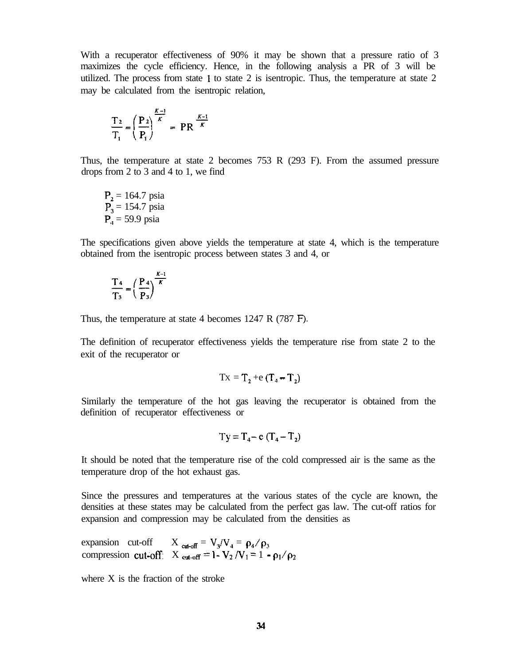With a recuperator effectiveness of 90% it may be shown that a pressure ratio of 3 maximizes the cycle efficiency. Hence, in the following analysis a PR of 3 will be utilized. The process from state 1 to state 2 is isentropic. Thus, the temperature at state 2 may be calculated from the isentropic relation,

$$
\frac{T_2}{T_1} = \left(\frac{P_2}{P_1}\right)^{\frac{K-1}{K}} = PR^{\frac{K-1}{K}}
$$

Thus, the temperature at state 2 becomes 753 R (293 F). From the assumed pressure drops from 2 to 3 and 4 to 1, we find

$$
P_2 = 164.7
$$
psia  
 $P_3 = 154.7$ psia  
 $P_4 = 59.9$ psia

The specifications given above yields the temperature at state 4, which is the temperature obtained from the isentropic process between states 3 and 4, or

$$
\frac{T_4}{T_3} = \left(\frac{P_4}{P_3}\right)^{\frac{K-1}{K}}
$$

Thus, the temperature at state 4 becomes 1247 R (787 F).

The definition of recuperator effectiveness yields the temperature rise from state 2 to the exit of the recuperator or

$$
Tx = T_2 + e(T_4 - T_2)
$$

Similarly the temperature of the hot gas leaving the recuperator is obtained from the definition of recuperator effectiveness or

$$
Ty = T_4 - e(T_4 - T_2)
$$

It should be noted that the temperature rise of the cold compressed air is the same as the temperature drop of the hot exhaust gas.

Since the pressures and temperatures at the various states of the cycle are known, the densities at these states may be calculated from the perfect gas law. The cut-off ratios for expansion and compression may be calculated from the densities as

expansion cut-off  $X_{\text{cat-off}} = V_3/V_4 = \rho_4/\rho_3$ compression cut-off:  $X_{\text{cut-off}} = 1 - V_2 / V_1 = 1 - \rho_1 / \rho_2$ 

where X is the fraction of the stroke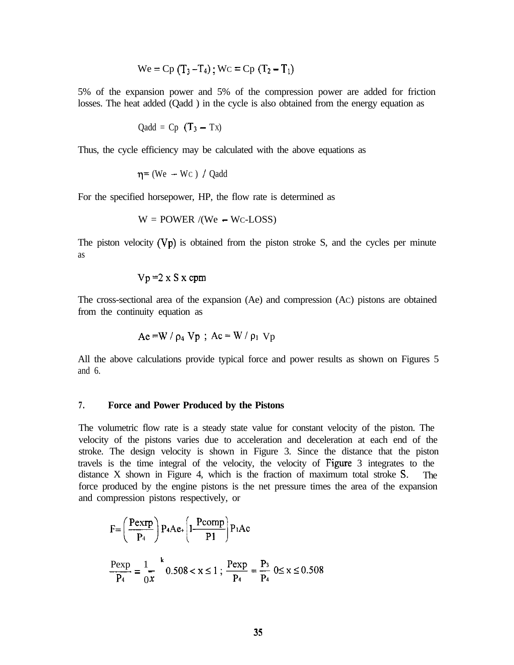We = Cp 
$$
(T_3 - T_4)
$$
; WC = Cp  $(T_2 - T_1)$ 

5% of the expansion power and 5% of the compression power are added for friction losses. The heat added (Qadd ) in the cycle is also obtained from the energy equation as

$$
Qadd = Cp (T_3 - Tx)
$$

Thus, the cycle efficiency may be calculated with the above equations as

$$
\eta = (We - Wc) / Qadd
$$

For the specified horsepower, HP, the flow rate is determined as

$$
W = \text{POWER} / (\text{We} - \text{Wc-LOSS})
$$

The piston velocity  $(Vp)$  is obtained from the piston stroke S, and the cycles per minute as

$$
Vp = 2 \times S \times cpm
$$

The cross-sectional area of the expansion (Ae) and compression (AC) pistons are obtained from the continuity equation as

$$
Ae = W / \rho_4 Vp ; Ac = W / \rho_1 Vp
$$

All the above calculations provide typical force and power results as shown on Figures 5 and 6.

#### **7 . Force and Power Produced by the Pistons**

The volumetric flow rate is a steady state value for constant velocity of the piston. The velocity of the pistons varies due to acceleration and deceleration at each end of the stroke. The design velocity is shown in Figure 3. Since the distance that the piston travels is the time integral of the velocity, the velocity of Figure 3 integrates to the distance X shown in Figure 4, which is the fraction of maximum total stroke S. The force produced by the engine pistons is the net pressure times the area of the expansion and compression pistons respectively, or

$$
F = \left(\frac{P \exp}{P_4}\right) P_4 A e_+ \left(1 - \frac{P \text{comp}}{P_1}\right) P_1 A c
$$
  

$$
\frac{P \exp}{P_4} = \frac{1}{0} \left(1 - \frac{k}{P_4}\right) 0.508 < x \le 1 ; \frac{P \exp}{P_4} = \frac{P_3}{P_4} 0 \le x \le 0.508
$$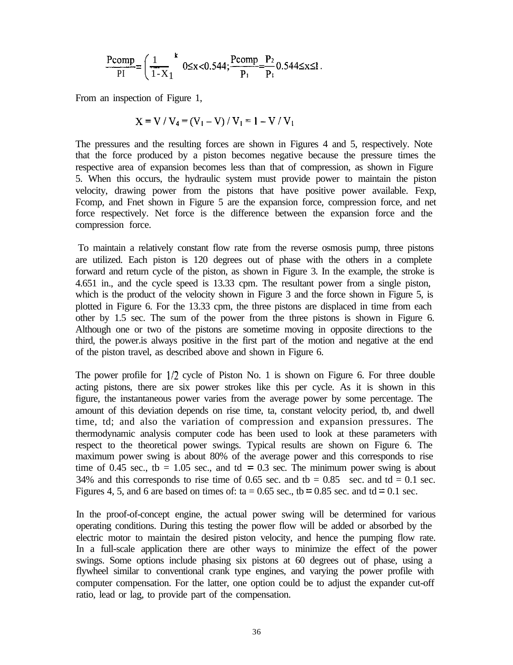$$
\frac{\text{Pcomp}}{\text{PI}} = \left(\frac{1}{1-X_1}\right)^k 0 \le x < 0.544; \frac{\text{Pcomp}}{\text{P}_1} = \frac{\text{P}_2}{\text{P}_1} 0.544 \le x \le 1.
$$

From an inspection of Figure 1,

$$
X = V / V_4 = (V_1 - V) / V_1 = 1 - V / V_1
$$

The pressures and the resulting forces are shown in Figures 4 and 5, respectively. Note that the force produced by a piston becomes negative because the pressure times the respective area of expansion becomes less than that of compression, as shown in Figure 5. When this occurs, the hydraulic system must provide power to maintain the piston velocity, drawing power from the pistons that have positive power available. Fexp, Fcomp, and Fnet shown in Figure 5 are the expansion force, compression force, and net force respectively. Net force is the difference between the expansion force and the compression force.

To maintain a relatively constant flow rate from the reverse osmosis pump, three pistons are utilized. Each piston is 120 degrees out of phase with the others in a complete forward and return cycle of the piston, as shown in Figure 3. In the example, the stroke is 4.651 in., and the cycle speed is 13.33 cpm. The resultant power from a single piston, which is the product of the velocity shown in Figure 3 and the force shown in Figure 5, is plotted in Figure 6. For the 13.33 cpm, the three pistons are displaced in time from each other by 1.5 sec. The sum of the power from the three pistons is shown in Figure 6. Although one or two of the pistons are sometime moving in opposite directions to the third, the power.is always positive in the first part of the motion and negative at the end of the piston travel, as described above and shown in Figure 6.

The power profile for  $1/2$  cycle of Piston No. 1 is shown on Figure 6. For three double acting pistons, there are six power strokes like this per cycle. As it is shown in this figure, the instantaneous power varies from the average power by some percentage. The amount of this deviation depends on rise time, ta, constant velocity period, tb, and dwell time, td; and also the variation of compression and expansion pressures. The thermodynamic analysis computer code has been used to look at these parameters with respect to the theoretical power swings. Typical results are shown on Figure 6. The maximum power swing is about 80% of the average power and this corresponds to rise time of 0.45 sec., tb = 1.05 sec., and td = 0.3 sec. The minimum power swing is about 34% and this corresponds to rise time of 0.65 sec. and th =  $0.85$  sec. and td =  $0.1$  sec. Figures 4, 5, and 6 are based on times of: ta =  $0.65$  sec., tb =  $0.85$  sec. and td =  $0.1$  sec.

In the proof-of-concept engine, the actual power swing will be determined for various operating conditions. During this testing the power flow will be added or absorbed by the electric motor to maintain the desired piston velocity, and hence the pumping flow rate. In a full-scale application there are other ways to minimize the effect of the power swings. Some options include phasing six pistons at 60 degrees out of phase, using a flywheel similar to conventional crank type engines, and varying the power profile with computer compensation. For the latter, one option could be to adjust the expander cut-off ratio, lead or lag, to provide part of the compensation.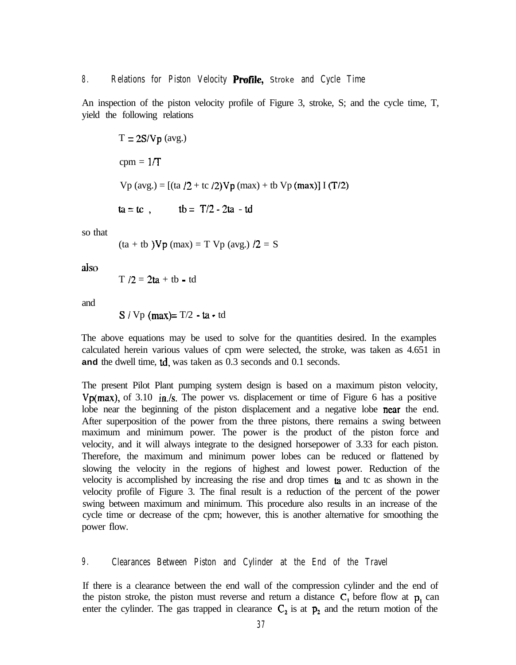#### **8 . Relations for Piston Velocity Protile,** Stroke **and Cycle Time**

An inspection of the piston velocity profile of Figure 3, stroke, S; and the cycle time, T, yield the following relations

T = 2SIVp (avg.) cpm = l/T Vp (avg.) = [(ta 12 + tc I2)Vp (max) + tb Vp (max)] I (T/2) ta=tc, tb= T/2-2ta -td

so that

$$
(\text{ta} + \text{tb } )\nabla p \text{ (max)} = T \nabla p \text{ (avg.) } /2 = S
$$

also

 $T / 2 = 2ta + tb - td$ 

and

S / Vp (max)= 
$$
T/2 - ta - td
$$

The above equations may be used to solve for the quantities desired. In the examples calculated herein various values of cpm were selected, the stroke, was taken as 4.651 in **and** the dwell time, td, was taken as 0.3 seconds and 0.1 seconds.

The present Pilot Plant pumping system design is based on a maximum piston velocity, Vp(max), of 3.10 in/s. The power vs. displacement or time of Figure 6 has a positive lobe near the beginning of the piston displacement and a negative lobe near the end. After superposition of the power from the three pistons, there remains a swing between maximum and minimum power. The power is the product of the piston force and velocity, and it will always integrate to the designed horsepower of 3.33 for each piston. Therefore, the maximum and minimum power lobes can be reduced or flattened by slowing the velocity in the regions of highest and lowest power. Reduction of the velocity is accomplished by increasing the rise and drop times ta and tc as shown in the velocity profile of Figure 3. The final result is a reduction of the percent of the power swing between maximum and minimum. This procedure also results in an increase of the cycle time or decrease of the cpm; however, this is another alternative for smoothing the power flow.

#### **9 . Clearances Between Piston and Cylinder at the End of the Travel**

If there is a clearance between the end wall of the compression cylinder and the end of the piston stroke, the piston must reverse and return a distance  $C_1$  before flow at p, can enter the cylinder. The gas trapped in clearance  $C_2$  is at  $p_2$  and the return motion of the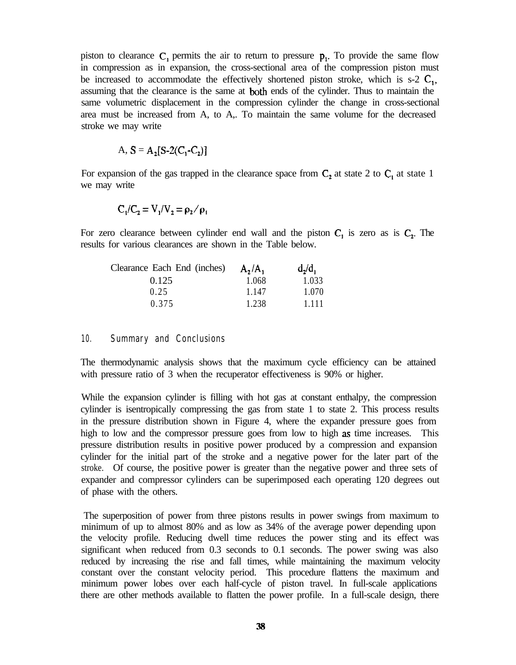piston to clearance  $C_1$  permits the air to return to pressure  $p_1$ . To provide the same flow in compression as in expansion, the cross-sectional area of the compression piston must be increased to accommodate the effectively shortened piston stroke, which is s-2  $C_1$ , assuming that the clearance is the same at both ends of the cylinder. Thus to maintain the same volumetric displacement in the compression cylinder the change in cross-sectional area must be increased from A, to A,. To maintain the same volume for the decreased stroke we may write

A, 
$$
S = A_2[S-2(C_1-C_2)]
$$

For expansion of the gas trapped in the clearance space from  $C_2$  at state 2 to  $C_1$  at state 1 we may write

$$
C_1/C_2=V_1/V_2=\rho_2/\rho_1
$$

For zero clearance between cylinder end wall and the piston  $C_1$  is zero as is  $C_2$ . The results for various clearances are shown in the Table below.

| Clearance Each End (inches) | $A_2/A_1$ | $d_2/d_1$ |
|-----------------------------|-----------|-----------|
| 0.125                       | 1.068     | 1.033     |
| 0.25                        | 1.147     | 1.070     |
| 0.375                       | 1.238     | 1.111     |

#### **10. Summary and Conclusions**

The thermodynamic analysis shows that the maximum cycle efficiency can be attained with pressure ratio of 3 when the recuperator effectiveness is 90% or higher.

While the expansion cylinder is filling with hot gas at constant enthalpy, the compression cylinder is isentropically compressing the gas from state 1 to state 2. This process results in the pressure distribution shown in Figure 4, where the expander pressure goes from high to low and the compressor pressure goes from low to high as time increases. This pressure distribution results in positive power produced by a compression and expansion cylinder for the initial part of the stroke and a negative power for the later part of the stroke. Of course, the positive power is greater than the negative power and three sets of expander and compressor cylinders can be superimposed each operating 120 degrees out of phase with the others.

The superposition of power from three pistons results in power swings from maximum to minimum of up to almost 80% and as low as 34% of the average power depending upon the velocity profile. Reducing dwell time reduces the power sting and its effect was significant when reduced from 0.3 seconds to 0.1 seconds. The power swing was also reduced by increasing the rise and fall times, while maintaining the maximum velocity constant over the constant velocity period. This procedure flattens the maximum and minimum power lobes over each half-cycle of piston travel. In full-scale applications there are other methods available to flatten the power profile. In a full-scale design, there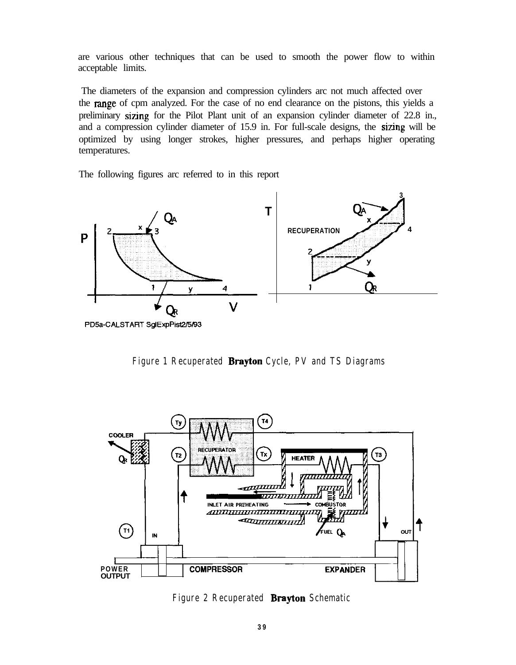are various other techniques that can be used to smooth the power flow to within acceptable limits.

The diameters of the expansion and compression cylinders arc not much affected over the range of cpm analyzed. For the case of no end clearance on the pistons, this yields a preliminary sizing for the Pilot Plant unit of an expansion cylinder diameter of 22.8 in., and a compression cylinder diameter of 15.9 in. For full-scale designs, the sizing will be optimized by using longer strokes, higher pressures, and perhaps higher operating temperatures.

The following figures arc referred to in this report



**Figure 1 Recuperated Brayton Cycle, PV and TS Diagrams**



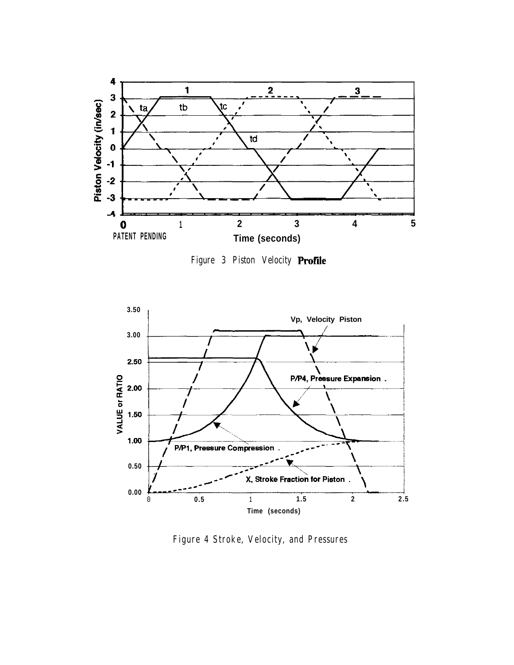

**Figure 3 Piston Velocity Proftie**



**Figure 4 Stroke, Velocity, and Pressures**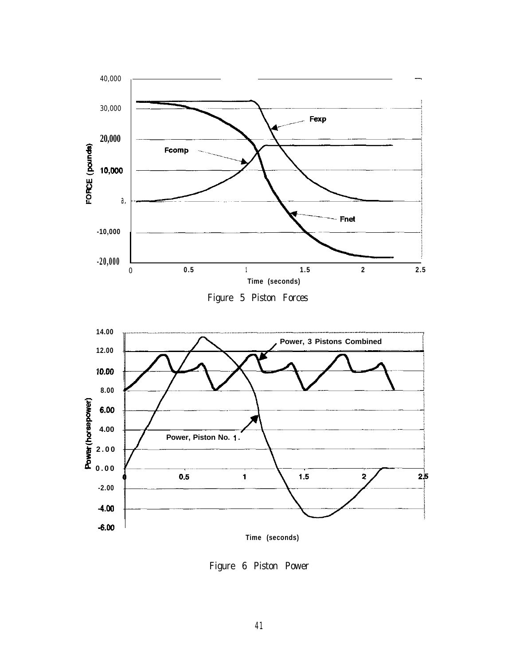

Figure 5 Piston Forces



Figure 6 Piston Power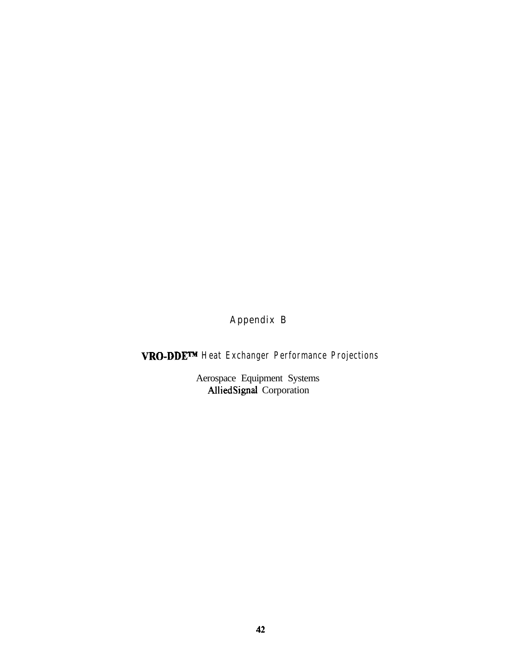# **Appendix B**

# **VRO-DDEm Heat Exchanger Performance Projections**

Aerospace Equipment Systems AlliedSignal Corporation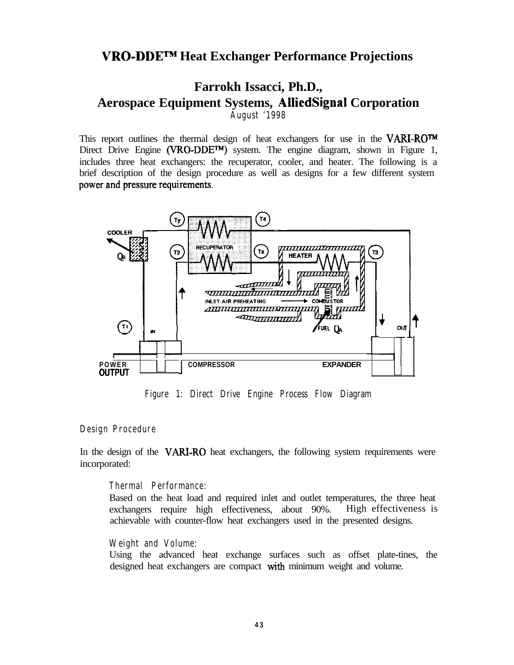## **VRO-DDETM Heat Exchanger Performance Projections**

## **Farrokh Issacci, Ph.D., Aerospace Equipment Systems, AlliedSignal Corporation August '1998**

This report outlines the thermal design of heat exchangers for use in the **VARI-ROW** Direct Drive Engine (VRO-DDETM) system. The engine diagram, shown in Figure 1, includes three heat exchangers: the recuperator, cooler, and heater. The following is a brief description of the design procedure as well as designs for a few different system power and pressure requirements.



**Figure 1: Direct Drive Engine Process Flow Diagram**

#### **Design Procedure**

In the design of the VARI-RO heat exchangers, the following system requirements were incorporated:

#### **Thermal Performance:**

Based on the heat load and required inlet and outlet temperatures, the three heat exchangers require high effectiveness, about 90%. High effectiveness is achievable with counter-flow heat exchangers used in the presented designs.

#### **Weight and Volume:**

Using the advanced heat exchange surfaces such as offset plate-tines, the designed heat exchangers are compact with minimum weight and volume.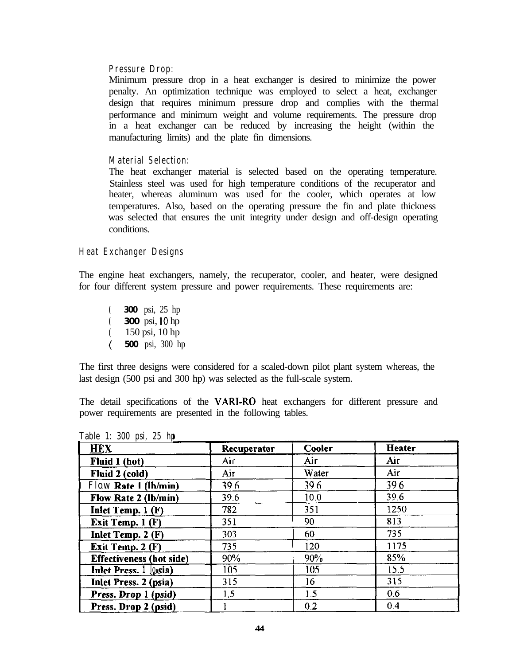#### **Pressure Drop:**

Minimum pressure drop in a heat exchanger is desired to minimize the power penalty. An optimization technique was employed to select a heat, exchanger design that requires minimum pressure drop and complies with the thermal performance and minimum weight and volume requirements. The pressure drop in a heat exchanger can be reduced by increasing the height (within the manufacturing limits) and the plate fin dimensions.

#### **Material Selection:**

The heat exchanger material is selected based on the operating temperature. Stainless steel was used for high temperature conditions of the recuperator and heater, whereas aluminum was used for the cooler, which operates at low temperatures. Also, based on the operating pressure the fin and plate thickness was selected that ensures the unit integrity under design and off-design operating conditions.

#### **Heat Exchanger Designs**

The engine heat exchangers, namely, the recuperator, cooler, and heater, were designed for four different system pressure and power requirements. These requirements are:

**( 300** psi, 25 hp **( 300** psi, 10 hp ( 150 psi, 10 hp **( 500** psi, 300 hp

The first three designs were considered for a scaled-down pilot plant system whereas, the last design (500 psi and 300 hp) was selected as the full-scale system.

The detail specifications of the VARI-RO heat exchangers for different pressure and power requirements are presented in the following tables.

| <b>HEX</b>                      | Recuperator | Cooler | <b>Heater</b> |
|---------------------------------|-------------|--------|---------------|
| Fluid 1 (hot)                   | Air         | Аіг    | Air           |
| Fluid 2 (cold)                  | Air         | Water  | Air           |
| Flow Rate 1 (lh/min)            | 39.6        | 39.6   | 39.6          |
| Flow Rate 2 (lb/min)            | 39.6        | 10.0   | 39.6          |
| Inlet Temp. 1 (F)               | 782         | 351    | 1250          |
| Exit Temp. 1 (F)                | 351         | 90     | 813           |
| Inlet Temp. 2 (F)               | 303         | 60     | 735           |
| Exit Temp. 2 (F)                | 735         | 120    | 1175          |
| <b>Effectiveness (hot side)</b> | 90%         | 90%    | 85%           |
| Inlet Press. 1 losia)           | 105         | 105    | 15.5          |
| <b>Inlet Press. 2 (psia)</b>    | 315         | 16     | 315           |
| Press. Drop 1 (psid)            | 1.5         | 1.5    | 0.6           |
| Press. Drop 2 (psid)            |             | 0.2    | 0.4           |

**Table 1: 300 psi, 25 hp**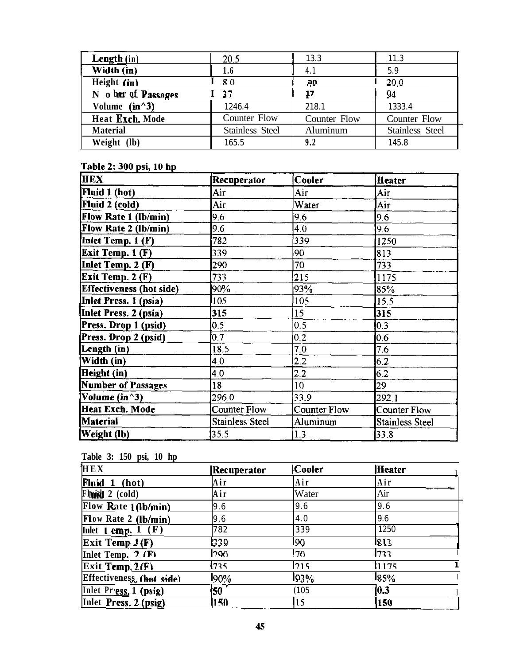| <b>Length</b> $(in)$ | 20.5                   | 13.3         | 11.3                |
|----------------------|------------------------|--------------|---------------------|
| Width (in)           | 1.6                    | 4.1          | 5.9                 |
| Height $(in)$        | $I \, 80$              | ap           | 20.0                |
| N o her of Passages  | 37                     |              | 94                  |
| Volume $(in^23)$     | 1246.4                 | 2181         | 1333.4              |
| Heat Exch. Mode      | Counter Flow           | Counter Flow | <b>Counter Flow</b> |
| <b>Material</b>      | <b>Stainless Steel</b> | Aluminum     | Stainless Steel     |
| Weight (lb)          | 165.5                  | 9.2          | 145.8               |

## Table 2: 300 psi, 10 hp

| <b>HEX</b>                      | Recuperator            | Cooler       | <b>Heater</b>   |
|---------------------------------|------------------------|--------------|-----------------|
| Fluid 1 (hot)                   | Air                    | Air          | Air             |
| Fluid 2 (cold)                  | Air                    | Water        | Air             |
| Flow Rate 1 (lb/min)            | 9.6                    | 9.6          | 9.6             |
| Flow Rate 2 (lb/min)            | 9.6                    | 4.0          | 9.6             |
| Inlet Temp. 1 (F)               | 782                    | 339          | 1250            |
| <b>Exit Temp. 1 (F)</b>         | 339                    | 90           | 813             |
| Inlet Temp. 2 (F)               | 290                    | 70           | 733             |
| Exit Temp. 2 (F)                | 733                    | 215          | 1175            |
| <b>Effectiveness</b> (hot side) | 90%                    | 93%          | 85%             |
| Inlet Press. 1 (psia)           | 105                    | 105          | 15.5            |
| Inlet Press. 2 (psia)           | 315                    | 15           | 315             |
| Press. Drop 1 (psid)            | 0.5                    | 0.5          | 0.3             |
| Press. Drop 2 (psid)            | 0.7                    | 0.2          | 0.6             |
| Length (in)                     | 18.5                   | 7.0          | 7.6             |
| Width (in)                      | 4.0                    | 2.2          | 6.2             |
| Height (in)                     | 4.0                    | 2.2          | 6.2             |
| Number of Passages              | 18                     | 10           | 29              |
| Volume (in^3)                   | 296.0                  | 33.9         | 292.1           |
| Heat Exch. Mode                 | <b>Counter Flow</b>    | Counter Flow | Counter Flow    |
| <b>Material</b>                 | <b>Stainless Steel</b> | Aluminum     | Stainless Steel |
| Weight (lb)                     | 35.5                   | 1.3          | 33.8            |

# **Table 3: 150 psi, 10 hp ,**

| HEX                      | Recuperator | <b>Cooler</b> | Heater        |  |
|--------------------------|-------------|---------------|---------------|--|
| Fluid 1 (hot)            | Air         | Air           | Air           |  |
| $Flu$ <b>id</b> 2 (cold) | Air         | Water         | Air           |  |
| Flow Rate 1 (lb/min)     | 9.6         | 9.6           | 9.6           |  |
| Flow Rate 2 (lb/min)     | 9.6         | 4.0           | 9.6           |  |
| Inlet 1 emp. $1$ $(F)$   | 782         | 339           | 1250          |  |
| Exit Temp $1(F)$         | 1339        | 190           | <u> 1813 </u> |  |
| Inlet Temp. 2 (F)        | 1290.       | 7٥            | 733           |  |
| $\vert$ Exit Temp. 2(F)  | 1735        | 215           | 1175          |  |
| Effectiveness (hot side) | 190%        | 193%          | 185%          |  |
| Inlet Press. 1 (psig)    | I50 I       | (105          | 10.3          |  |
| Inlet Press. 2 (psig)    | 150         | 15            | <b>150</b>    |  |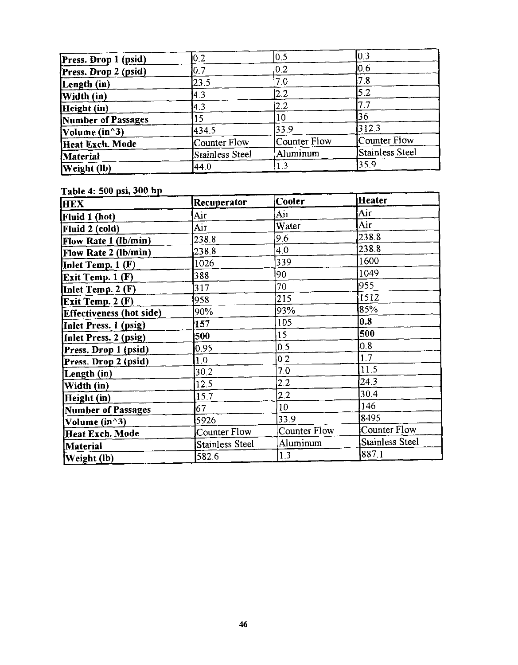| Press. Drop 1 (psid) | 0.2             | 0,5          | l0.3            |
|----------------------|-----------------|--------------|-----------------|
| Press. Drop 2 (psid) | 0.7             | 0.2          | 10.6            |
| Length (in)          | 23.5            | 7.0          | 7.8             |
| Width (in)           | 4.3             | 2.2          | 5.2             |
| Height (in)          | $\overline{A}$  | 2.2          |                 |
| Number of Passages   |                 | 10           | 36              |
| Volume (in^3)        | 434.5           | 33.9         | 312.3           |
| Heat Exch. Mode      | Counter Flow    | Counter Flow | Counter Flow    |
| Material             | Stainless Steel | Aluminum     | Stainless Steel |
| <b>Weight</b> (lb)   | 44.0            | 1.3          | 35.9            |

Table 4: 500 psi, 300 hp

| <b>HEX</b>                      | Recuperator            | Cooler       | Heater          |
|---------------------------------|------------------------|--------------|-----------------|
| Fluid 1 (hot)                   | Air                    | Аiг          | Air             |
| Fluid 2 (cold)                  | Аіг                    | Water        | Aiг             |
| Flow Rate 1 (lb/min)            | 238.8                  | 9.6          | 238.8           |
| Flow Rate 2 (lb/min)            | 238.8                  | 4.0          | 238.8           |
| Inlet Temp. 1 (F)               | 1026                   | 339          | 1600            |
| Exit Temp. 1 (F)                | 388                    | 90           | 1049            |
| Inlet Temp. $2$ (F)             | 317                    | 70           | 955             |
| <b>Exit Temp. 2 (F)</b>         | 958                    | 215          | 1512            |
| <b>Effectiveness</b> (hot side) | 90%                    | 93%          | 85%             |
| Inlet Press. 1 (psig)           | 157                    | 105          | 0.8             |
| Inlet Press. 2 (psig)           | 500                    | 15           | 500             |
| Press. Drop 1 (psid)            | 0.95                   | 0.5          | 0.8             |
| Press. Drop 2 (psid)            | 1.0                    | 0.2          | 1.7             |
| Length (in)                     | 30.2                   | 7.0          | 11.5            |
| Width (in)                      | 12.5                   | 2.2          | 24.3            |
| Height (in)                     | 15.7                   | 2.2          | 30.4            |
| <b>Number of Passages</b>       | 67                     | 10           | 146             |
| Volume (in^3)                   | 5926                   | 33.9         | 8495            |
| Heat Exch. Mode                 | Counter Flow           | Counter Flow | Counter Flow    |
| Material                        | <b>Stainless Steel</b> | Aluminum     | Stainless Steel |
| Weight (lb)                     | 582.6                  | 1.3          | 887.1           |